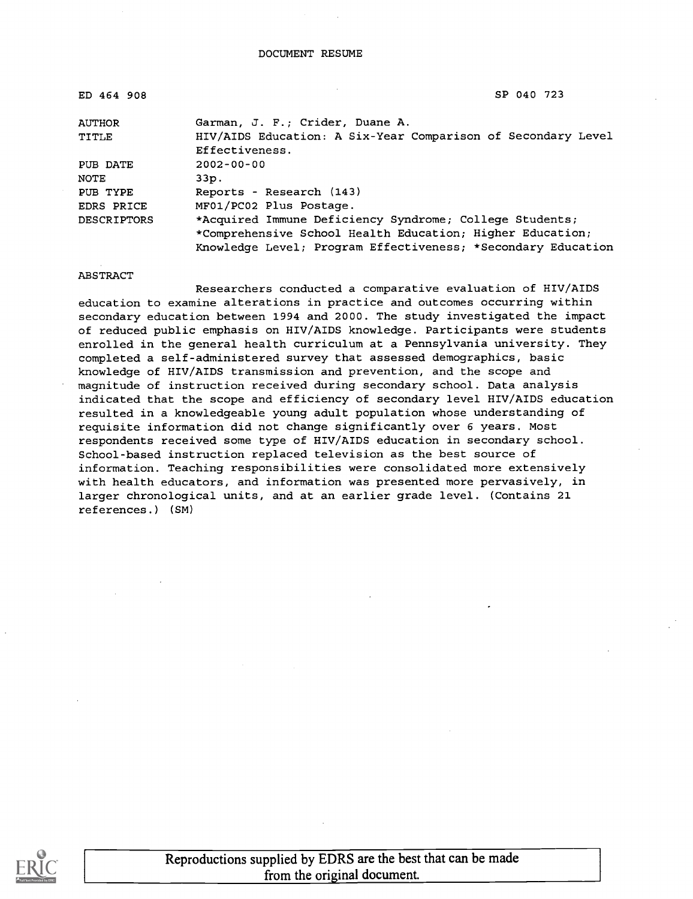| ED 464 908         | SP 040 723                                                   |
|--------------------|--------------------------------------------------------------|
| <b>AUTHOR</b>      | Garman, J. F.; Crider, Duane A.                              |
| TITLE              | HIV/AIDS Education: A Six-Year Comparison of Secondary Level |
|                    | Effectiveness.                                               |
| PUB DATE           | $2002 - 00 - 00$                                             |
| NOTE               | $33D$ .                                                      |
| PUB TYPE           | Reports - Research (143)                                     |
| EDRS PRICE         | MF01/PC02 Plus Postage.                                      |
| <b>DESCRIPTORS</b> | *Acquired Immune Deficiency Syndrome; College Students;      |
|                    | *Comprehensive School Health Education; Higher Education;    |
|                    | Knowledge Level; Program Effectiveness; *Secondary Education |

ABSTRACT

Researchers conducted a comparative evaluation of HIV/AIDS education to examine alterations in practice and outcomes occurring within secondary education between 1994 and 2000. The study investigated the impact of reduced public emphasis on HIV/AIDS knowledge. Participants were students enrolled in the general health curriculum at a Pennsylvania university. They completed a self-administered survey that assessed demographics, basic knowledge of HIV/AIDS transmission and prevention, and the scope and magnitude of instruction received during secondary school. Data analysis indicated that the scope and efficiency of secondary level HIV/AIDS education resulted in a knowledgeable young adult population whose understanding of requisite information did not change significantly over 6 years. Most respondents received some type of HIV/AIDS education in secondary school. School-based instruction replaced television as the best source of information. Teaching responsibilities were consolidated more extensively with health educators, and information was presented more pervasively, in larger chronological units, and at an earlier grade level. (Contains 21 references.) (SM)

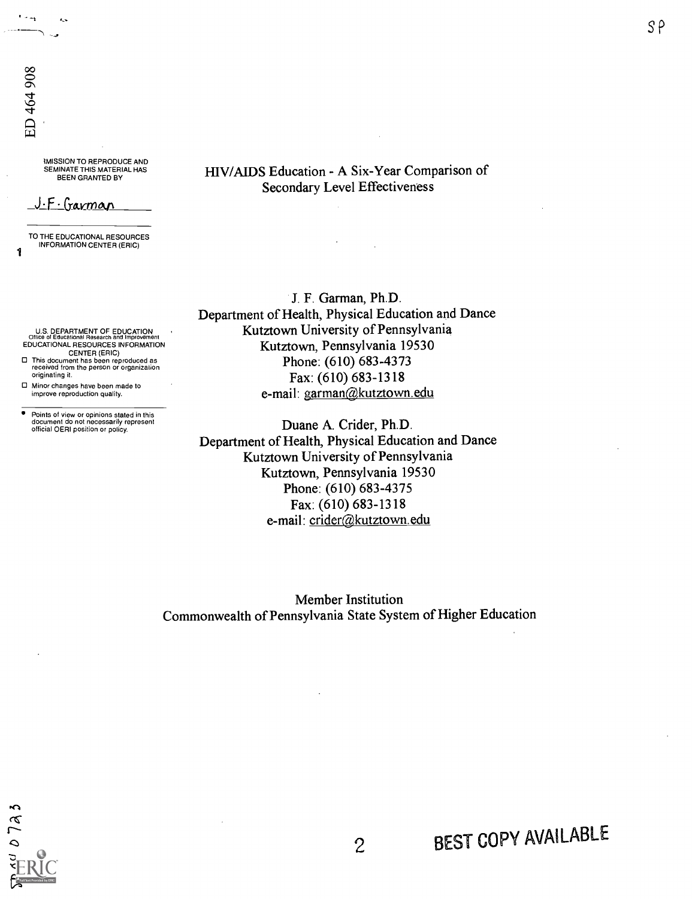'

 $\sim$  $\sim$   $\sim$ 

?MISSION TO REPRODUCE AND SEMINATE THIS MATERIAL HAS BEEN GRANTED BY

#### <u>J.F. Garman</u>

TO THE EDUCATIONAL RESOURCES INFORMATION CENTER (ERIC) 1

U.S. DEPARTMENT OF EDUCATION Office of Educational Research and Improvement EDUCATIONAL RESOURCES INFORMATION

CENTER (ERIC) O This document has been reproduced as received from the person or organization originating it.

O Minor changes have been made to improve reproduction quality.

 $\bullet$ Points of view or opinions stated in this document do not necessarily represent official OERI position or policy. HIV/AIDS Education - A Six-Year Comparison of Secondary Level Effectiveness

J. F. Garman, Ph.D. Department of Health, Physical Education and Dance Kutztown University of Pennsylvania Kutztown, Pennsylvania 19530 Phone: (610) 683-4373 Fax: (610) 683-1318 e-mail: garman@kutztown.edu

Duane A. Crider, Ph.D. Department of Health, Physical Education and Dance Kutztown University of Pennsylvania Kutztown, Pennsylvania 19530 Phone: (610) 683-4375 Fax: (610) 683-1318 e-mail: crider@kutztown.edu

Member Institution Commonwealth of Pennsylvania State System of Higher Education

7a 3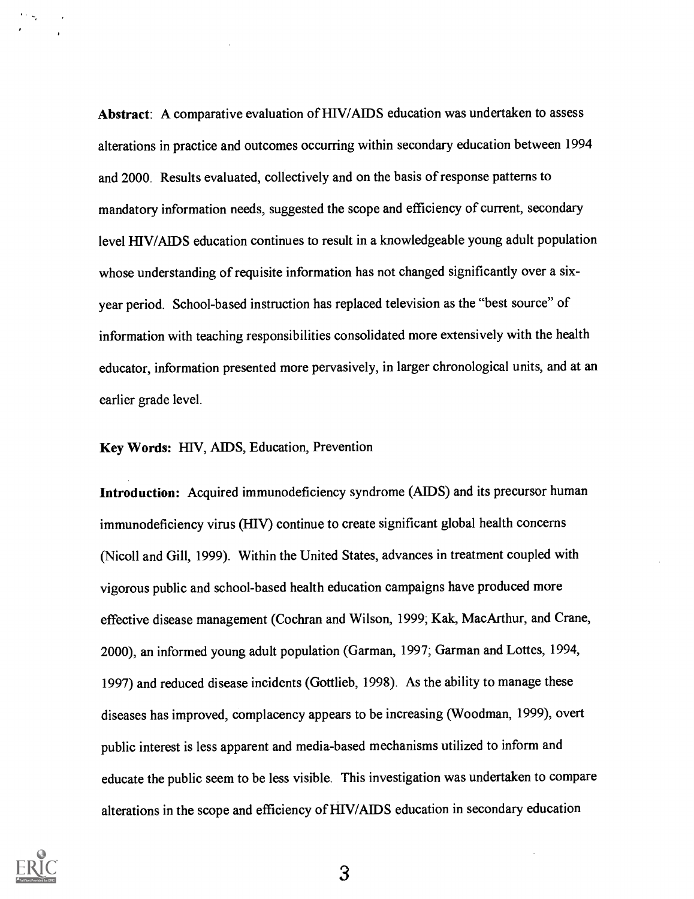Abstract: A comparative evaluation of HIV/AIDS education was undertaken to assess alterations in practice and outcomes occurring within secondary education between 1994 and 2000. Results evaluated, collectively and on the basis of response patterns to mandatory information needs, suggested the scope and efficiency of current, secondary level HIV/AIDS education continues to result in a knowledgeable young adult population whose understanding of requisite information has not changed significantly over a sixyear period. School-based instruction has replaced television as the "best source" of information with teaching responsibilities consolidated more extensively with the health educator, information presented more pervasively, in larger chronological units, and at an earlier grade level.

Key Words: HIV, AIDS, Education, Prevention

Introduction: Acquired immunodeficiency syndrome (AIDS) and its precursor human immunodeficiency virus (HIV) continue to create significant global health concerns (Nicoll and Gill, 1999). Within the United States, advances in treatment coupled with vigorous public and school-based health education campaigns have produced more effective disease management (Cochran and Wilson, 1999; Kak, MacArthur, and Crane, 2000), an informed young adult population (Garman, 1997; Garman and Lottes, 1994, 1997) and reduced disease incidents (Gottlieb, 1998). As the ability to manage these diseases has improved, complacency appears to be increasing (Woodman, 1999), overt public interest is less apparent and media-based mechanisms utilized to inform and educate the public seem to be less visible. This investigation was undertaken to compare alterations in the scope and efficiency of HIV/AIDS education in secondary education

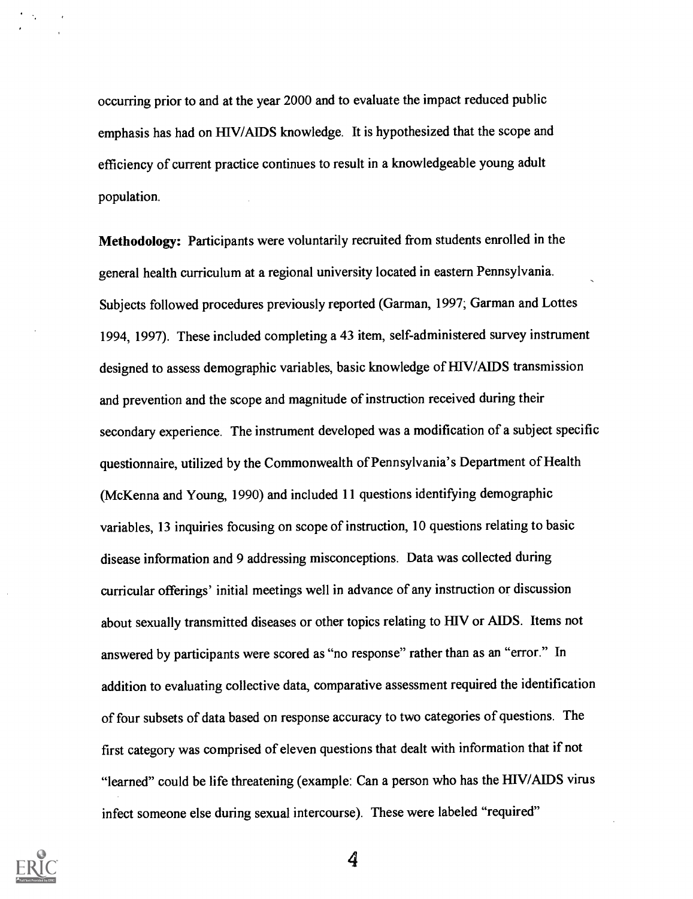occurring prior to and at the year 2000 and to evaluate the impact reduced public emphasis has had on HEV/AIDS knowledge. It is hypothesized that the scope and efficiency of current practice continues to result in a knowledgeable young adult population.

Methodology: Participants were voluntarily recruited from students enrolled in the general health curriculum at a regional university located in eastern Pennsylvania. Subjects followed procedures previously reported (Garman, 1997; Garman and Lottes 1994, 1997). These included completing a 43 item, self-administered survey instrument designed to assess demographic variables, basic knowledge of HIV/AIDS transmission and prevention and the scope and magnitude of instruction received during their secondary experience. The instrument developed was a modification of a subject specific questionnaire, utilized by the Commonwealth of Pennsylvania's Department of Health (McKenna and Young, 1990) and included 11 questions identifying demographic variables, 13 inquiries focusing on scope of instruction, 10 questions relating to basic disease information and 9 addressing misconceptions. Data was collected during curricular offerings' initial meetings well in advance of any instruction or discussion about sexually transmitted diseases or other topics relating to HIV or AIDS. Items not answered by participants were scored as "no response" rather than as an "error." In addition to evaluating collective data, comparative assessment required the identification of four subsets of data based on response accuracy to two categories of questions. The first category was comprised of eleven questions that dealt with information that if not "learned" could be life threatening (example: Can a person who has the HIV/AIDS virus infect someone else during sexual intercourse). These were labeled "required"



 $\mathcal{F}(\mathcal{A})$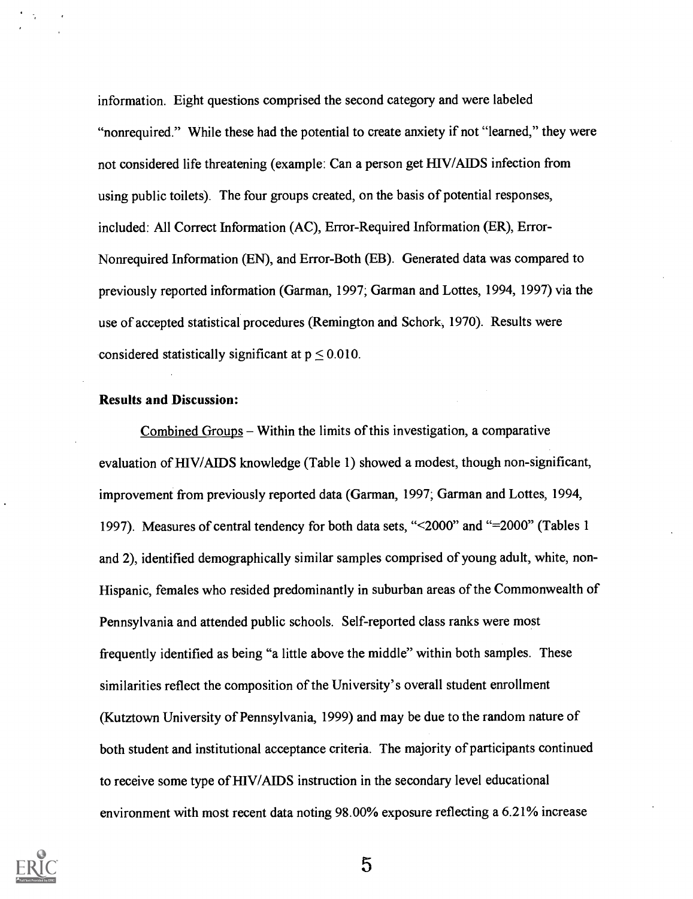information. Eight questions comprised the second category and were labeled "nonrequired." While these had the potential to create anxiety if not "learned," they were not considered life threatening (example: Can a person get HIV/AIDS infection from using public toilets). The four groups created, on the basis of potential responses, included: All Correct Information (AC), Error-Required Information (ER), Error-Nonrequired Information (EN), and Error-Both (EB). Generated data was compared to previously reported information (Garman, 1997; Garman and Lottes, 1994, 1997) via the use of accepted statistical procedures (Remington and Schork, 1970). Results were considered statistically significant at  $p \le 0.010$ .

#### Results and Discussion:

Combined Groups  $-$  Within the limits of this investigation, a comparative evaluation of HIV/A1DS knowledge (Table 1) showed a modest, though non-significant, improvement from previously reported data (Garman, 1997; Garman and Lottes, 1994, 1997). Measures of central tendency for both data sets, " $\leq$ 2000" and "=2000" (Tables 1 and 2), identified demographically similar samples comprised of young adult, white, non-Hispanic, females who resided predominantly in suburban areas of the Commonwealth of Pennsylvania and attended public schools. Self-reported class ranks were most frequently identified as being "a little above the middle" within both samples. These similarities reflect the composition of the University's overall student enrollment (Kutztown University of Pennsylvania, 1999) and may be due to the random nature of both student and institutional acceptance criteria. The majority of participants continued to receive some type of HIV/AIDS instruction in the secondary level educational environment with most recent data noting 98.00% exposure reflecting a 6.21% increase

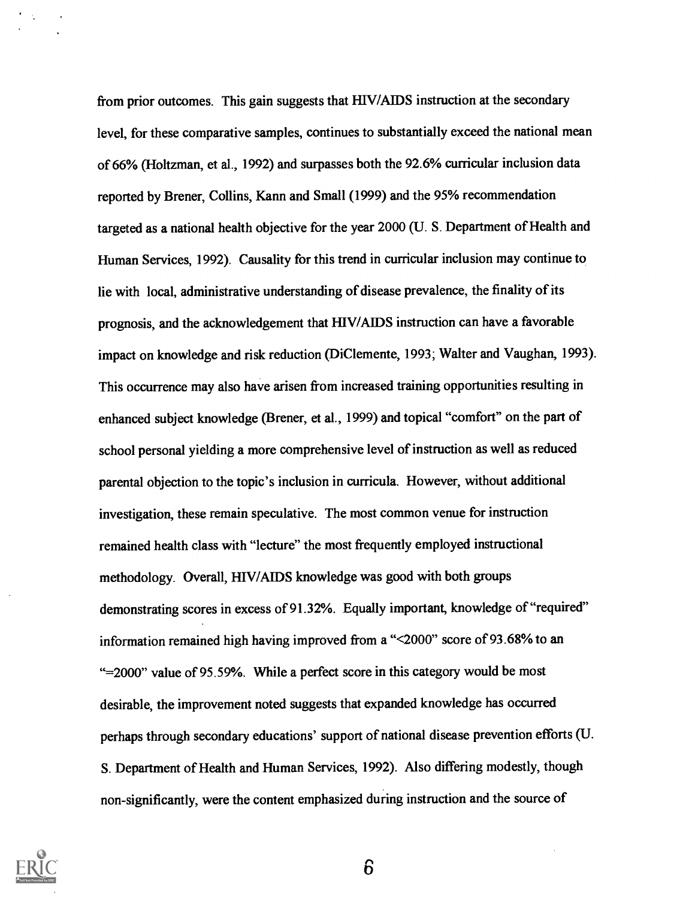from prior outcomes. This gain suggests that HIV/AIDS instruction at the secondary level, for these comparative samples, continues to substantially exceed the national mean of 66% (Holtzman, et al., 1992) and surpasses both the 92.6% curricular inclusion data reported by Brener, Collins, Kann and Small (1999) and the 95% recommendation targeted as a national health objective for the year 2000 (U. S. Department of Health and Human Services, 1992). Causality for this trend in curricular inclusion may continue to lie with local, administrative understanding of disease prevalence, the finality of its prognosis, and the acknowledgement that HIV/AIDS instruction can have a favorable impact on knowledge and risk reduction (DiClemente, 1993; Walter and Vaughan, 1993). This occurrence may also have arisen from increased training opportunities resulting in enhanced subject knowledge (Brener, et al., 1999) and topical "comfort" on the part of school personal yielding a more comprehensive level of instruction as well as reduced parental objection to the topic's inclusion in curricula. However, without additional investigation, these remain speculative. The most common venue for instruction remained health class with "lecture" the most frequently employed instructional methodology. Overall, HIV/AIDS knowledge was good with both groups demonstrating scores in excess of 91.32%. Equally important, knowledge of "required" information remained high having improved from a "<2000" score of 93.68% to an "=2000" value of 95.59%. While a perfect score in this category would be most desirable, the improvement noted suggests that expanded knowledge has occurred perhaps through secondary educations' support of national disease prevention efforts (U. S. Department of Health and Human Services, 1992). Also differing modestly, though non-significantly, were the content emphasized during instruction and the source of



 $\mathcal{F}(\mathcal{A})$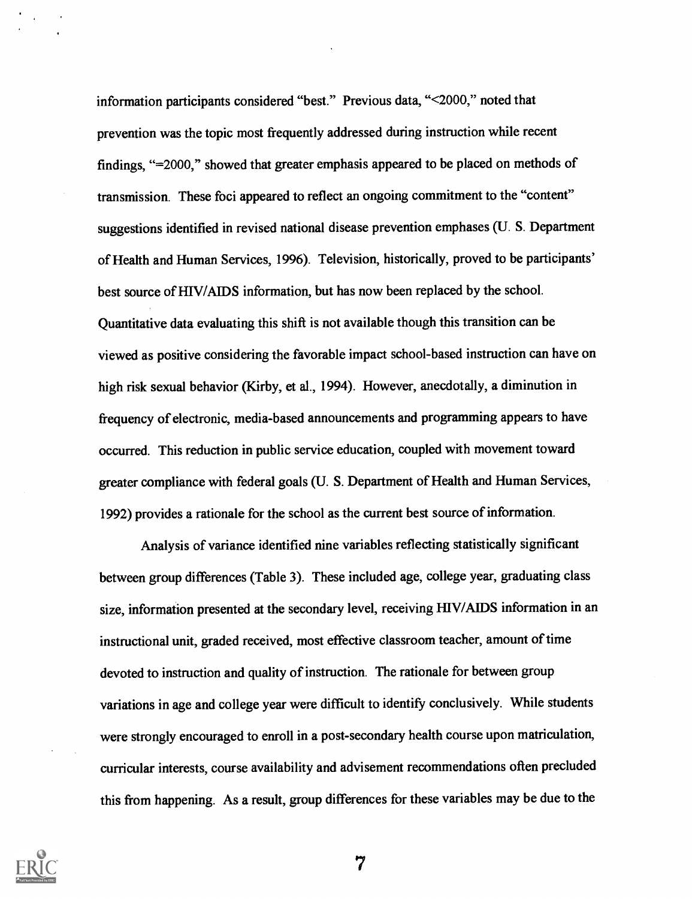information participants considered "best." Previous data, "<2000," noted that prevention was the topic most frequently addressed during instruction while recent findings, "=2000," showed that greater emphasis appeared to be placed on methods of transmission. These foci appeared to reflect an ongoing commitment to the "content" suggestions identified in revised national disease prevention emphases (U. S. Department of Health and Human Services, 1996). Television, historically, proved to be participants' best source of HIV/AIDS information, but has now been replaced by the school. Quantitative data evaluating this shift is not available though this transition can be viewed as positive considering the favorable impact school-based instruction can have on high risk sexual behavior (Kirby, et al., 1994). However, anecdotally, a diminution in frequency of electronic, media-based announcements and programming appears to have occurred. This reduction in public service education, coupled with movement toward greater compliance with federal goals (U. S. Department of Health and Human Services, 1992) provides a rationale for the school as the current best source of information.

Analysis of variance identified nine variables reflecting statistically significant between group differences (Table 3). These included age, college year, graduating class size, information presented at the secondary level, receiving HIV/AIDS information in an instructional unit, graded received, most effective classroom teacher, amount of time devoted to instruction and quality of instruction. The rationale for between group variations in age and college year were difficult to identify conclusively. While students were strongly encouraged to enroll in a post-secondary health course upon matriculation, curricular interests, course availability and advisement recommendations often precluded this from happening. As a result, group differences for these variables may be due to the

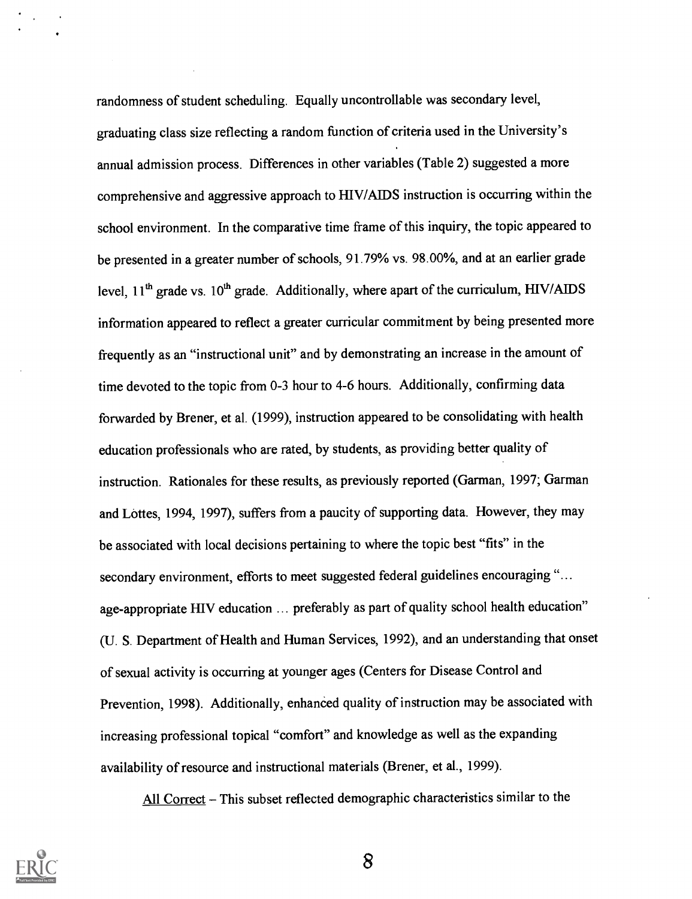randomness of student scheduling. Equally uncontrollable was secondary level, graduating class size reflecting a random fimction of criteria used in the University's annual admission process. Differences in other variables (Table 2) suggested a more comprehensive and aggressive approach to HIV/AIDS instruction is occurring within the school environment. In the comparative time frame of this inquiry, the topic appeared to be presented in a greater number of schools, 91.79% vs. 98.00%, and at an earlier grade level,  $11<sup>th</sup>$  grade vs.  $10<sup>th</sup>$  grade. Additionally, where apart of the curriculum, HIV/AIDS information appeared to reflect a greater curricular commitment by being presented more frequently as an "instructional unit" and by demonstrating an increase in the amount of time devoted to the topic from 0-3 hour to 4-6 hours. Additionally, confirming data forwarded by Brener, et al. (1999), instruction appeared to be consolidating with health education professionals who are rated, by students, as providing better quality of instruction. Rationales for these results, as previously reported (Garman, 1997; Garman and Lottes, 1994, 1997), suffers from a paucity of supporting data. However, they may be associated with local decisions pertaining to where the topic best "fits" in the secondary environment, efforts to meet suggested federal guidelines encouraging "... age-appropriate HIV education ... preferably as part of quality school health education" (U. S. Department of Health and Human Services, 1992), and an understanding that onset of sexual activity is occurring at younger ages (Centers for Disease Control and Prevention, 1998). Additionally, enhanced quality of instruction may be associated with increasing professional topical "comfort" and knowledge as well as the expanding availability of resource and instructional materials (Brener, et al., 1999).

All Correct - This subset reflected demographic characteristics similar to the

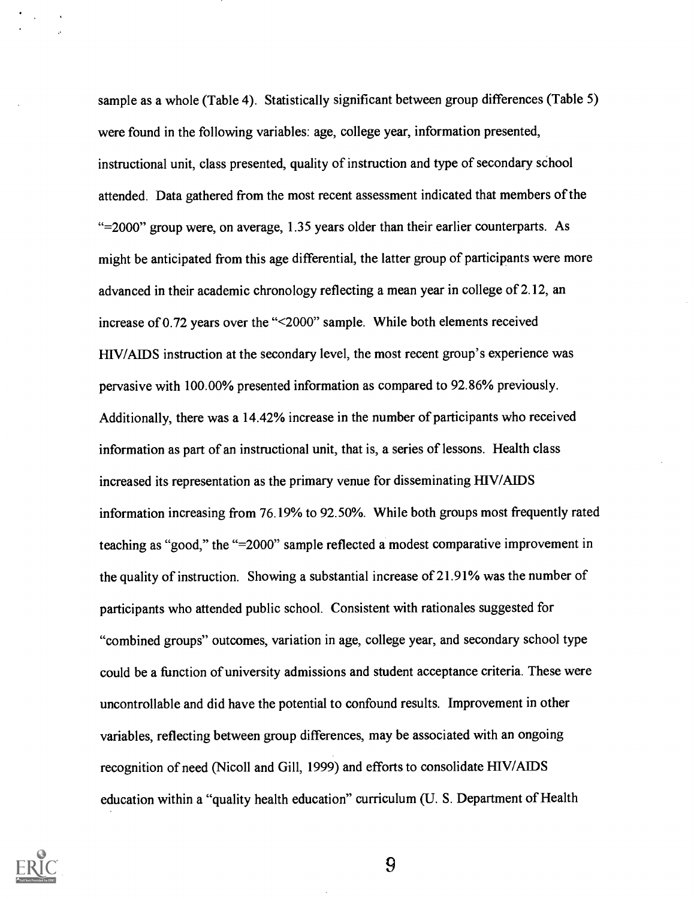sample as a whole (Table 4). Statistically significant between group differences (Table 5) were found in the following variables: age, college year, information presented, instructional unit, class presented, quality of instruction and type of secondary school attended. Data gathered from the most recent assessment indicated that members of the "=2000" group were, on average, 1.35 years older than their earlier counterparts. As might be anticipated from this age differential, the latter group of participants were more advanced in their academic chronology reflecting a mean year in college of 2.12, an increase of 0.72 years over the "<2000" sample. While both elements received HIV/AIDS instruction at the secondary level, the most recent group's experience was pervasive with 100.00% presented information as compared to 92.86% previously. Additionally, there was a 14.42% increase in the number of participants who received information as part of an instructional unit, that is, a series of lessons. Health class increased its representation as the primary venue for disseminating HIV/AIDS information increasing from 76.19% to 92.50%. While both groups most frequently rated teaching as "good," the "=2000" sample reflected a modest comparative improvement in the quality of instruction. Showing a substantial increase of 21.91% was the number of participants who attended public school. Consistent with rationales suggested for "combined groups" outcomes, variation in age, college year, and secondary school type could be a function of university admissions and student acceptance criteria. These were uncontrollable and did have the potential to confound results. Improvement in other variables, reflecting between group differences, may be associated with an ongoing recognition of need (Nicoll and Gill, 1999) and efforts to consolidate HIV/AIDS education within a "quality health education" curriculum (U. S. Department of Health

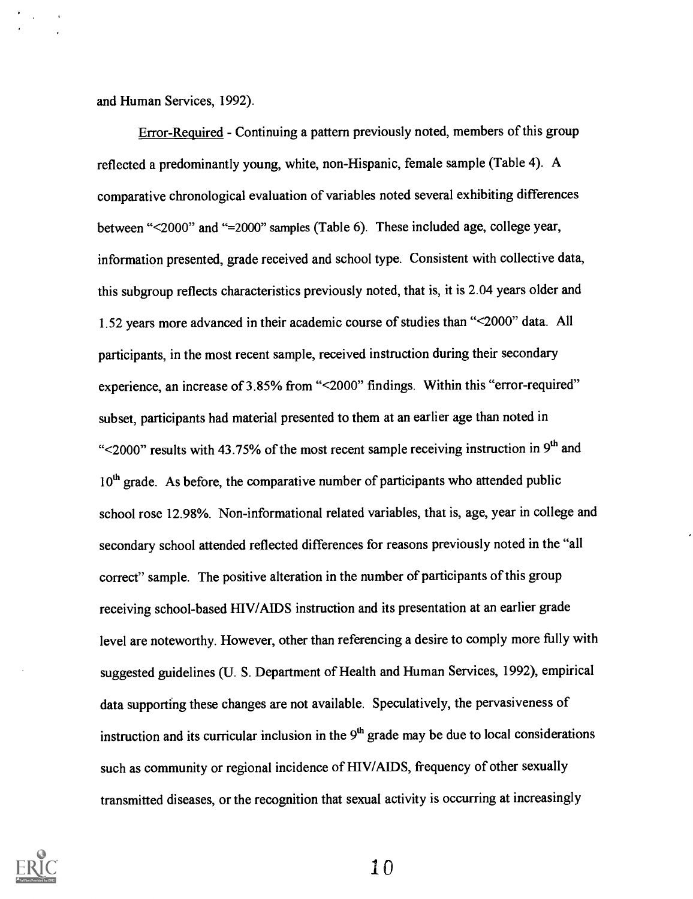and Human Services, 1992).

 $\mathcal{F}(\mathcal{A})$  .

Error-Required - Continuing a pattern previously noted, members of this group reflected a predominantly young, white, non-Hispanic, female sample (Table 4). A comparative chronological evaluation of variables noted several exhibiting differences between "<2000" and "=2000" samples (Table 6). These included age, college year, information presented, grade received and school type. Consistent with collective data, this subgroup reflects characteristics previously noted, that is, it is 2.04 years older and 1.52 years more advanced in their academic course of studies than "<2000" data. All participants, in the most recent sample, received instruction during their secondary experience, an increase of 3.85% from "<2000" findings. Within this "error-required" subset, participants had material presented to them at an earlier age than noted in " $\leq$ 2000" results with 43.75% of the most recent sample receiving instruction in 9<sup>th</sup> and  $10<sup>th</sup>$  grade. As before, the comparative number of participants who attended public school rose 12.98%. Non-informational related variables, that is, age, year in college and secondary school attended reflected differences for reasons previously noted in the "all correct" sample. The positive alteration in the number of participants of this group receiving school-based HIV/AIDS instruction and its presentation at an earlier grade level are noteworthy. However, other than referencing a desire to comply more fully with suggested guidelines (U. S. Department of Health and Human Services, 1992), empirical data supporting these changes are not available. Speculatively, the pervasiveness of instruction and its curricular inclusion in the  $9<sup>th</sup>$  grade may be due to local considerations such as community or regional incidence of HIV/AIDS, frequency of other sexually transmitted diseases, or the recognition that sexual activity is occurring at increasingly



 $1<sub>0</sub>$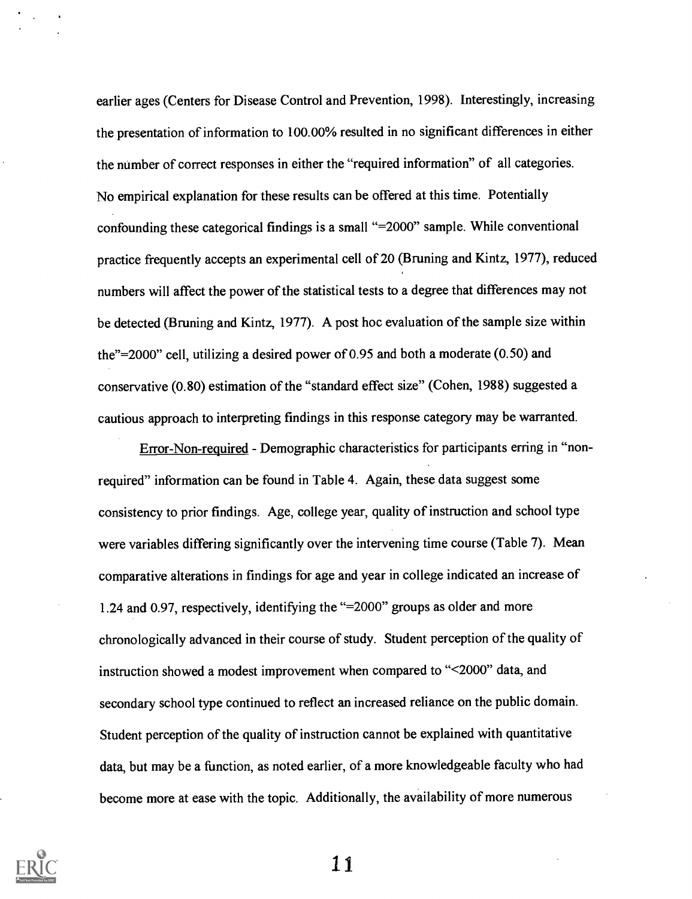earlier ages (Centers for Disease Control and Prevention, 1998). Interestingly, increasing the presentation of information to 100.00% resulted in no significant differences in either the number of correct responses in either the "required information" of all categories. No empirical explanation for these results can be offered at this time. Potentially confounding these categorical findings is a small "=2000" sample. While conventional practice frequently accepts an experimental cell of 20 (Bruning and Kintz, 1977), reduced numbers will affect the power of the statistical tests to a degree that differences may not be detected (Bruning and Kintz, 1977). A post hoc evaluation of the sample size within the"=2000" cell, utilizing a desired power of 0.95 and both a moderate (0.50) and conservative (0.80) estimation of the "standard effect size" (Cohen, 1988) suggested a cautious approach to interpreting findings in this response category may be warranted.

Error-Non-required - Demographic characteristics for participants erring in "nonrequired" information can be found in Table 4. Again, these data suggest some consistency to prior findings. Age, college year, quality of instruction and school type were variables differing significantly over the intervening time course (Table 7). Mean comparative alterations in findings for age and year in college indicated an increase of 1.24 and 0.97, respectively, identifying the "=2000" groups as older and more chronologically advanced in their course of study. Student perception of the quality of instruction showed a modest improvement when compared to "<2000" data, and secondary school type continued to reflect an increased reliance on the public domain. Student perception of the quality of instruction cannot be explained with quantitative data, but may be a function, as noted earlier, of a more knowledgeable faculty who had become more at ease with the topic. Additionally, the availability of more numerous

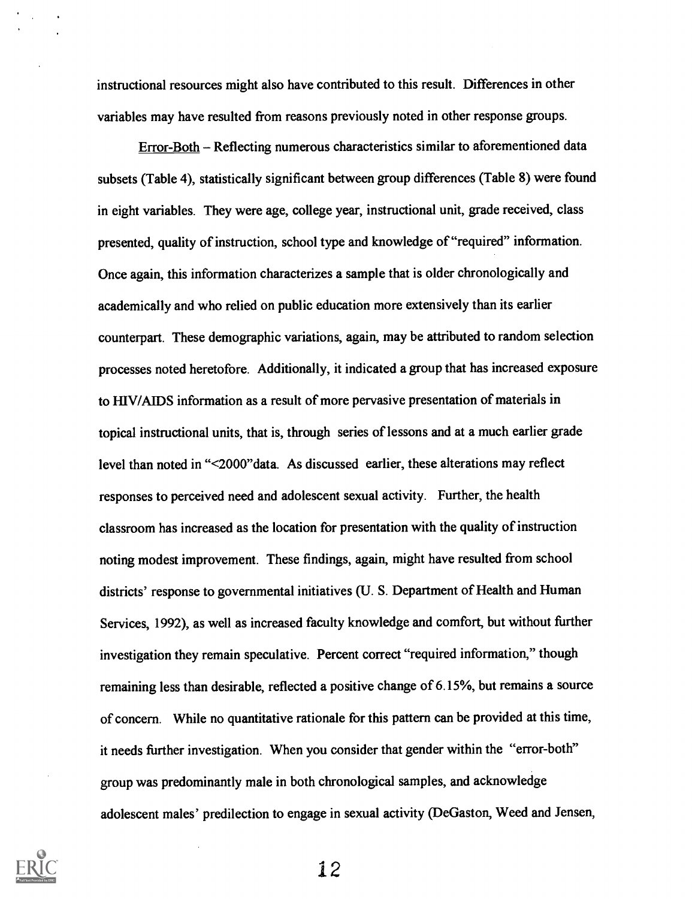instructional resources might also have contributed to this result. Differences in other variables may have resulted from reasons previously noted in other response groups.

Error-Both - Reflecting numerous characteristics similar to aforementioned data subsets (Table 4), statistically significant between group differences (Table 8) were found in eight variables. They were age, college year, instructional unit, grade received, class presented, quality of instruction, school type and knowledge of "required" information. Once again, this information characterizes a sample that is older chronologically and academically and who relied on public education more extensively than its earlier counterpart. These demographic variations, again, may be attributed to random selection processes noted heretofore. Additionally, it indicated a group that has increased exposure to RIV/AIDS information as a result of more pervasive presentation of materials in topical instructional units, that is, through series of lessons and at a much earlier grade level than noted in "<2000"data. As discussed earlier, these alterations may reflect responses to perceived need and adolescent sexual activity. Further, the health classroom has increased as the location for presentation with the quality of instruction noting modest improvement. These findings, again, might have resulted from school districts' response to governmental initiatives (U. S. Department of Health and Human Services, 1992), as well as increased faculty knowledge and comfort, but without further investigation they remain speculative. Percent correct "required information," though remaining less than desirable, reflected a positive change of 6.15%, but remains a source of concern. While no quantitative rationale for this pattern can be provided at this time, it needs further investigation. When you consider that gender within the "error-both" group was predominantly male in both chronological samples, and acknowledge adolescent males' predilection to engage in sexual activity (DeGaston, Weed and Jensen,

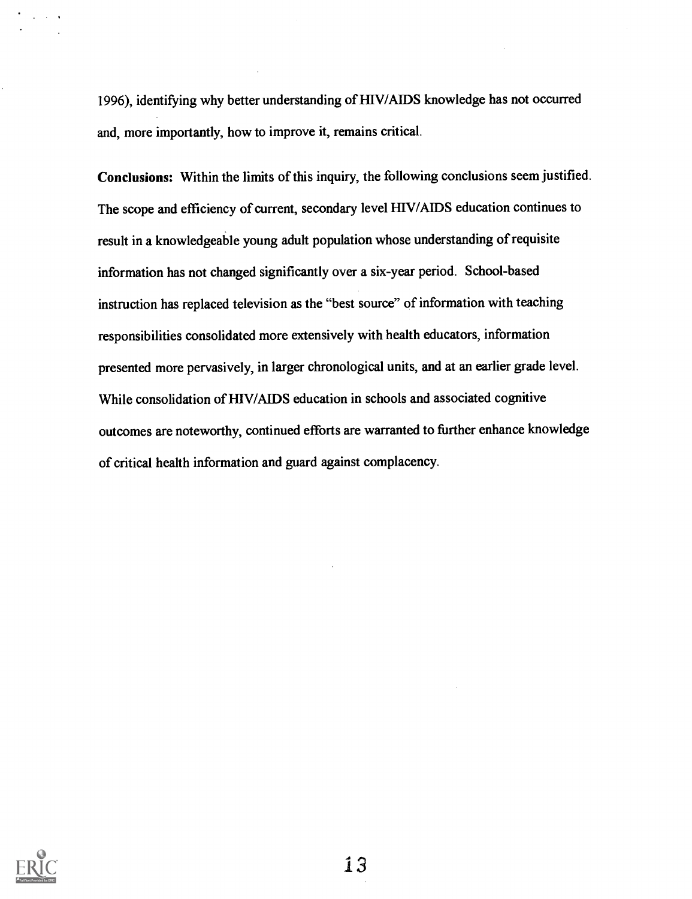1996), identifying why better understanding of HIV/AIDS knowledge has not occurred and, more importantly, how to improve it, remains critical.

Conclusions: Within the limits of this inquiry, the following conclusions seem justified. The scope and efficiency of current, secondary level HIV/AIDS education continues to result in a knowledgeable young adult population whose understanding of requisite information has not changed significantly over a six-year period. School-based instruction has replaced television as the "best source" of information with teaching responsibilities consolidated more extensively with health educators, information presented more pervasively, in larger chronological units, and at an earlier grade level. While consolidation of HIV/AIDS education in schools and associated cognitive outcomes are noteworthy, continued efforts are warranted to further enhance knowledge of critical health information and guard against complacency.



 $\sim$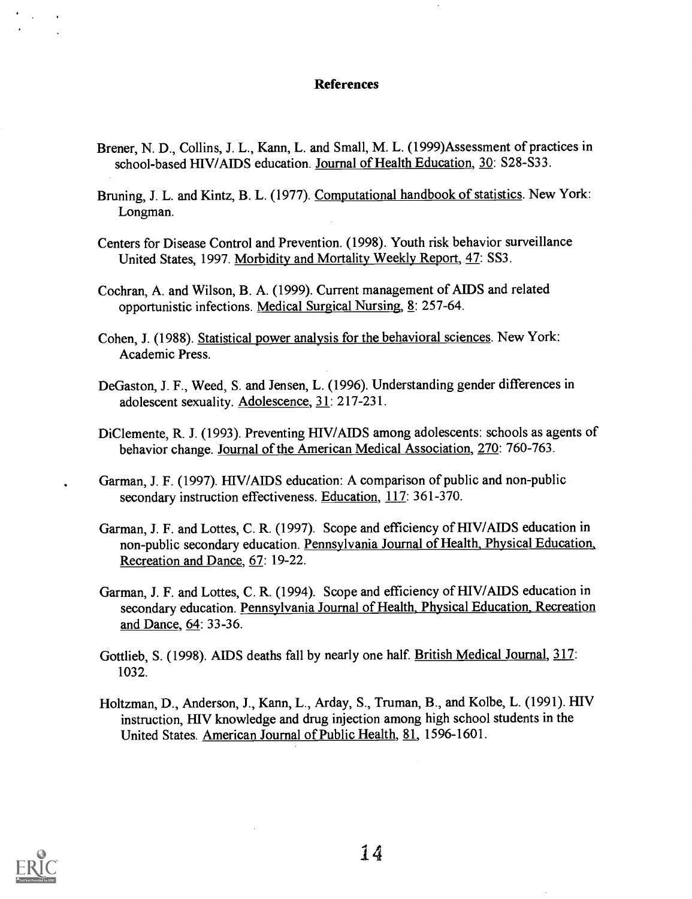#### References

- Brener, N. D., Collins, J. L., Kann, L. and Small, M. L. (1999)Assessment of practices in school-based HIV/AIDS education. Journal of Health Education, 30: S28-S33.
- Bruning, J. L. and Kintz, B. L. (1977). Computational handbook of statistics. New York: Longman.
- Centers for Disease Control and Prevention. (1998). Youth risk behavior surveillance United States, 1997. Morbidity and Mortality Weekly Report, 47: SS3.
- Cochran, A. and Wilson, B. A. (1999). Current management of AIDS and related opportunistic infections. Medical Surgical Nursing, 8: 257-64.
- Cohen, J. (1988). Statistical power analysis for the behavioral sciences. New York: Academic Press.
- DeGaston, J. F., Weed, S. and Jensen, L. (1996). Understanding gender differences in adolescent sexuality. Adolescence, 31: 217-231.
- DiClemente, R. J. (1993). Preventing HIV/AIDS among adolescents: schools as agents of behavior change. Journal of the American Medical Association, 270: 760-763.
- Garman, J. F. (1997). HIV/AIDS education: A comparison of public and non-public secondary instruction effectiveness. Education, 117: 361-370.
- Garman, J. F. and Lottes, C. R. (1997). Scope and efficiency of HIV/AIDS education in non-public secondary education. Pennsylvania Journal of Health, Physical Education, Recreation and Dance, 67: 19-22.
- Garman, J. F. and Lottes, C. R. (1994). Scope and efficiency of HIV/AIDS education in secondary education. Pennsylvania Journal of Health, Physical Education, Recreation and Dance, 64: 33-36.
- Gottlieb, S. (1998). AIDS deaths fall by nearly one half. British Medical Journal, 317: 1032.
- Holtzman, D., Anderson, J., Kann, L., Arday, S., Truman, B., and Kolbe, L. (1991). HIV instruction, HIV knowledge and drug injection among high school students in the United States. American Journal of Public Health, 81, 1596-1601.

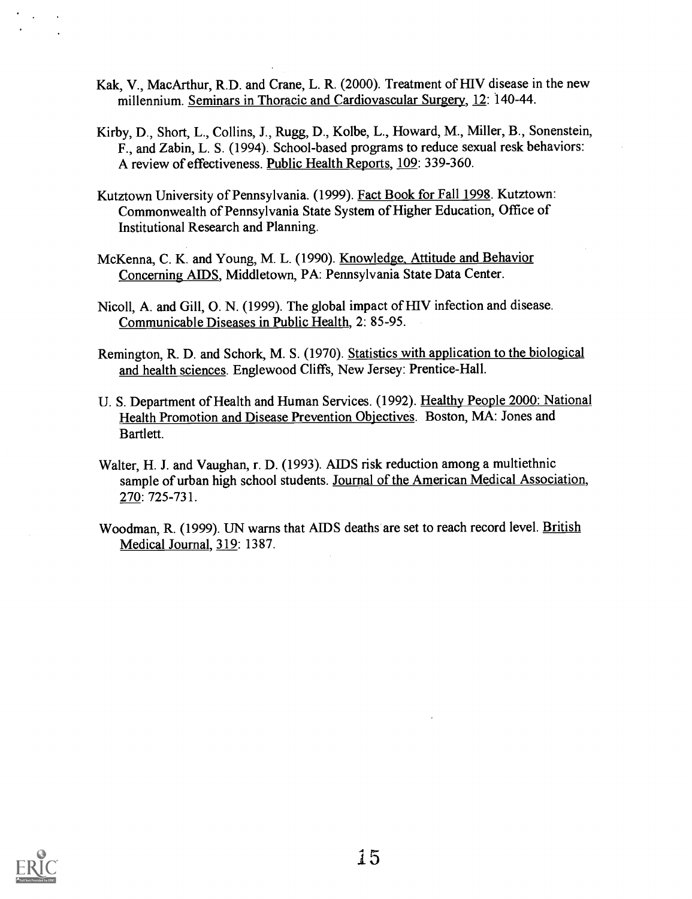- Kak, V., MacArthur, R.D. and Crane, L. R. (2000). Treatment of HIV disease in the new millennium. Seminars in Thoracic and Cardiovascular Surgery, 12: 140-44.
- Kirby, D., Short, L., Collins, J., Rugg, D., Kolbe, L., Howard, M., Miller, B., Sonenstein, F., and Zabin, L. S. (1994). School-based programs to reduce sexual resk behaviors: A review of effectiveness. Public Health Reports, 109: 339-360.
- Kutztown University of Pennsylvania. (1999). Fact Book for Fall 1998. Kutztown: Commonwealth of Pennsylvania State System of Higher Education, Office of Institutional Research and Planning.
- McKenna, C. K. and Young, M. L. (1990). Knowledge, Attitude and Behavior Concerning AIDS, Middletown, PA: Pennsylvania State Data Center.
- Nicoll, A. and Gill, 0. N. (1999). The global impact of HIV infection and disease. Communicable Diseases in Public Health, 2: 85-95.
- Remington, R. D. and Schork, M. S. (1970). Statistics with application to the biological and health sciences. Englewood Cliffs, New Jersey: Prentice-Hall.
- U. S. Department of Health and Human Services. (1992). Healthy People 2000: National Health Promotion and Disease Prevention Objectives. Boston, MA: Jones and Bartlett.
- Walter, H. J. and Vaughan, r. D. (1993). AIDS risk reduction among a multiethnic sample of urban high school students. Journal of the American Medical Association, 270: 725-731.
- Woodman, R. (1999). UN warns that AIDS deaths are set to reach record level. British Medical Journal, 319: 1387.

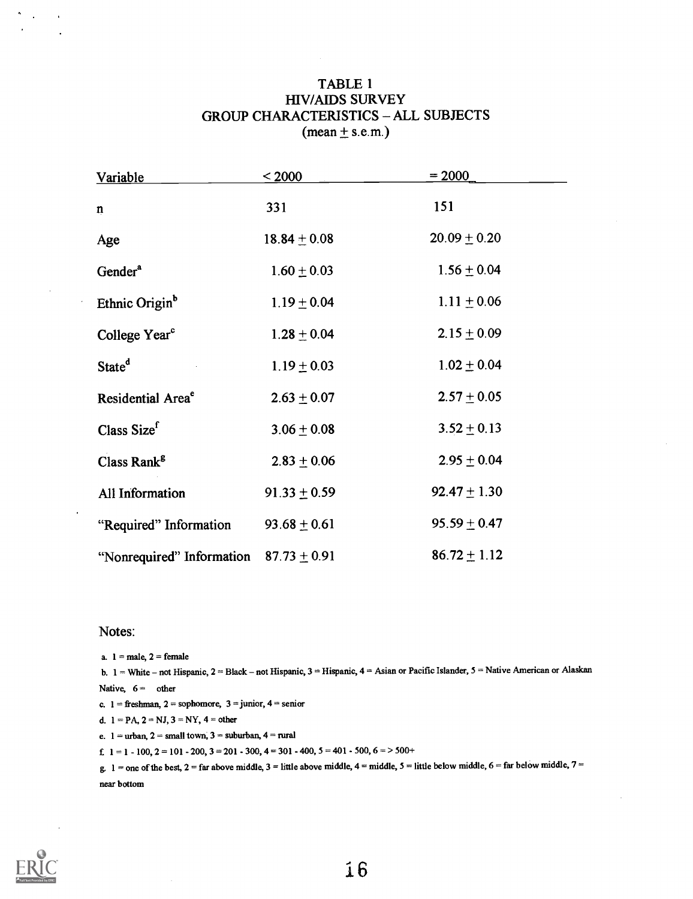#### TABLE 1 HIVIAIDS SURVEY GROUP CHARACTERISTICS ALL SUBJECTS  $(mean \pm s.e.m.)$

| Variable                      | $\leq 2000$      | $= 2000$         |
|-------------------------------|------------------|------------------|
| $\mathbf n$                   | 331              | 151              |
| Age                           | $18.84 \pm 0.08$ | $20.09 \pm 0.20$ |
| Gender <sup>a</sup>           | $1.60 \pm 0.03$  | $1.56 \pm 0.04$  |
| Ethnic Origin <sup>b</sup>    | $1.19 \pm 0.04$  | $1.11 \pm 0.06$  |
| College Year <sup>c</sup>     | $1.28 \pm 0.04$  | $2.15 \pm 0.09$  |
| State <sup>d</sup>            | $1.19 \pm 0.03$  | $1.02 \pm 0.04$  |
| Residential Area <sup>e</sup> | $2.63 \pm 0.07$  | $2.57 \pm 0.05$  |
| Class Sizef                   | $3.06 \pm 0.08$  | $3.52 \pm 0.13$  |
| Class Rank <sup>8</sup>       | $2.83 \pm 0.06$  | $2.95 \pm 0.04$  |
| <b>All Information</b>        | $91.33 \pm 0.59$ | $92.47 \pm 1.30$ |
| "Required" Information        | $93.68 \pm 0.61$ | $95.59 \pm 0.47$ |
| "Nonrequired" Information     | $87.73 \pm 0.91$ | $86.72 \pm 1.12$ |

#### Notes:

a.  $1 =$  male,  $2 =$  female

b. 1 = White - not Hispanic, 2 = Black - not Hispanic, 3 = Hispanic, 4 = Asian or Pacific Islander, 5 = Native American or Alaskan Native,  $6 =$  other c.  $1 =$  freshman,  $2 =$  sophomore,  $3 =$  junior,  $4 =$  senior

d.  $1 = PA$ ,  $2 = NJ$ ,  $3 = NY$ ,  $4 = other$ 

e.  $1 =$ urban,  $2 =$ small town,  $3 =$ suburban,  $4 =$ rural

f.  $1 = 1 - 100$ ,  $2 = 101 - 200$ ,  $3 = 201 - 300$ ,  $4 = 301 - 400$ ,  $5 = 401 - 500$ ,  $6 = 500 +$ 

g.  $1 =$  one of the best,  $2 =$  far above middle,  $3 =$  little above middle,  $4 =$  middle,  $5 =$  little below middle,  $6 =$  far below middle,  $7 =$ near bottom



 $\mathcal{L}$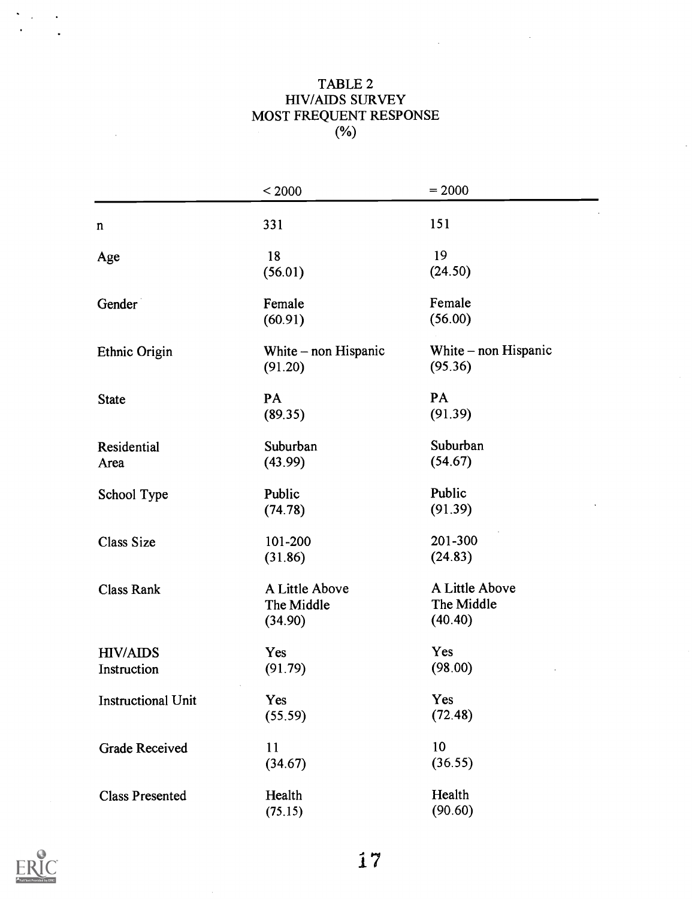#### TABLE 2 HIV/AIDS SURVEY MOST FREQUENT RESPONSE  $(\%)$

 $\label{eq:2.1} \frac{1}{2} \int_{\mathbb{R}^3} \left| \frac{1}{2} \left( \frac{1}{2} \right) \right|^2 \, d\mu = \frac{1}{2} \int_{\mathbb{R}^3} \left| \frac{1}{2} \left( \frac{1}{2} \right) \right|^2 \, d\mu = \frac{1}{2} \int_{\mathbb{R}^3} \left| \frac{1}{2} \left( \frac{1}{2} \right) \right|^2 \, d\mu = \frac{1}{2} \int_{\mathbb{R}^3} \left| \frac{1}{2} \left( \frac{1}{2} \right) \right|^2 \, d\mu = \frac{$ 

 $\sim$ 

|                                | < 2000                                  | $= 2000$                                |
|--------------------------------|-----------------------------------------|-----------------------------------------|
| $\mathbf n$                    | 331                                     | 151                                     |
| Age                            | 18<br>(56.01)                           | 19<br>(24.50)                           |
| Gender                         | Female<br>(60.91)                       | Female<br>(56.00)                       |
| Ethnic Origin                  | White – non Hispanic<br>(91.20)         | White $-$ non Hispanic<br>(95.36)       |
| <b>State</b>                   | PA<br>(89.35)                           | PA<br>(91.39)                           |
| Residential<br>Area            | Suburban<br>(43.99)                     | Suburban<br>(54.67)                     |
| School Type                    | Public<br>(74.78)                       | Public<br>(91.39)                       |
| <b>Class Size</b>              | 101-200<br>(31.86)                      | 201-300<br>(24.83)                      |
| <b>Class Rank</b>              | A Little Above<br>The Middle<br>(34.90) | A Little Above<br>The Middle<br>(40.40) |
| <b>HIV/AIDS</b><br>Instruction | Yes<br>(91.79)                          | Yes<br>(98.00)                          |
| <b>Instructional Unit</b>      | Yes<br>(55.59)                          | Yes<br>(72.48)                          |
| <b>Grade Received</b>          | 11<br>(34.67)                           | 10<br>(36.55)                           |
| <b>Class Presented</b>         | Health<br>(75.15)                       | Health<br>(90.60)                       |



 $\ddot{\phantom{0}}$  $\mathcal{A}^{\pm}$  $\sim$   $\sim$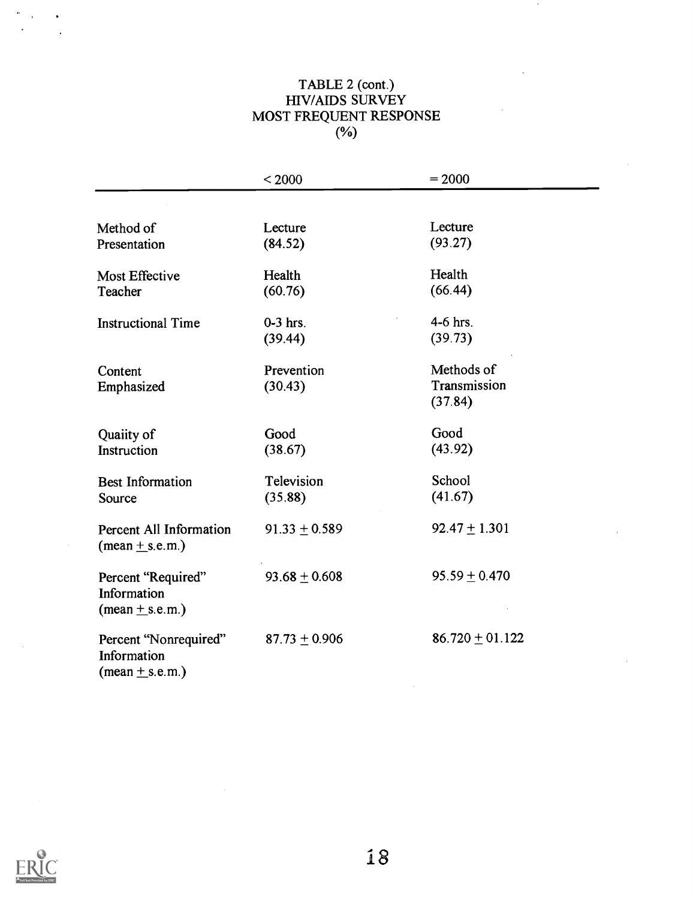### TABLE 2 (cont.) HIV/AIDS SURVEY MOST FREQUENT RESPONSE  $(9)$

|                                                                           | < 2000            | $= 2000$            |
|---------------------------------------------------------------------------|-------------------|---------------------|
|                                                                           |                   |                     |
| Method of                                                                 | Lecture           | Lecture             |
| Presentation                                                              | (84.52)           | (93.27)             |
| <b>Most Effective</b>                                                     | Health            | Health              |
| Teacher                                                                   | (60.76)           | (66.44)             |
| <b>Instructional Time</b>                                                 | $0-3$ hrs.        | 4-6 hrs.            |
|                                                                           | (39.44)           | (39.73)             |
| Content                                                                   | Prevention        | Methods of          |
| Emphasized                                                                | (30.43)           | Transmission        |
|                                                                           |                   | (37.84)             |
| Quaiity of                                                                | Good              | Good                |
| Instruction                                                               | (38.67)           | (43.92)             |
| <b>Best Information</b>                                                   | Television        | School              |
| Source                                                                    | (35.88)           | (41.67)             |
| Percent All Information<br>$(\text{mean} \pm \text{s.e.m.})$              | $91.33 \pm 0.589$ | $92.47 \pm 1.301$   |
| Percent "Required"<br>Information<br>$(\text{mean} \pm \text{s.e.m.})$    | $93.68 \pm 0.608$ | $95.59 \pm 0.470$   |
| Percent "Nonrequired"<br>Information<br>$(\text{mean} \pm \text{s.e.m.})$ | $87.73 \pm 0.906$ | $86.720 \pm 01.122$ |

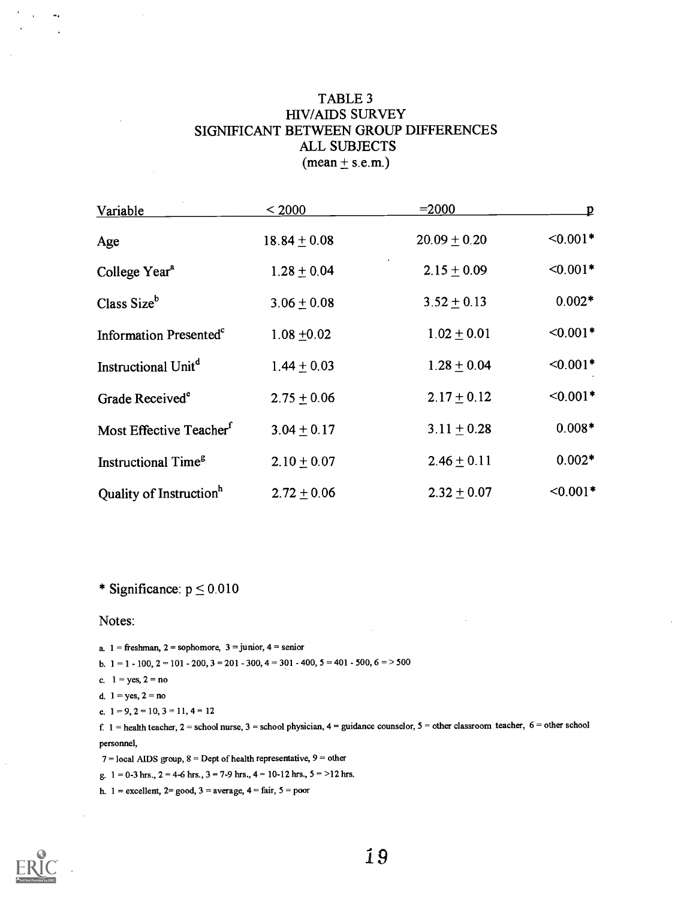#### TABLE 3 HIV/AIDS SURVEY SIGNIFICANT BETWEEN GROUP DIFFERENCES ALL SUBJECTS  $(mean \pm s.e.m.)$

| <b>Variable</b>                     | < 2000           | $= 2000$         | D          |
|-------------------------------------|------------------|------------------|------------|
| Age                                 | $18.84 \pm 0.08$ | $20.09 \pm 0.20$ | $< 0.001*$ |
| College Year <sup>a</sup>           | $1.28 \pm 0.04$  | $2.15 \pm 0.09$  | $< 0.001*$ |
| Class Size <sup>b</sup>             | $3.06 \pm 0.08$  | $3.52 \pm 0.13$  | $0.002*$   |
| Information Presented <sup>c</sup>  | $1.08 + 0.02$    | $1.02 \pm 0.01$  | $< 0.001*$ |
| Instructional Unit <sup>d</sup>     | $1.44 \pm 0.03$  | $1.28 \pm 0.04$  | $<0.001*$  |
| Grade Received <sup>e</sup>         | $2.75 \pm 0.06$  | $2.17 \pm 0.12$  | $< 0.001*$ |
| Most Effective Teacher <sup>f</sup> | $3.04 + 0.17$    | $3.11 \pm 0.28$  | $0.008*$   |
| Instructional Time <sup>g</sup>     | $2.10 \pm 0.07$  | $2.46 \pm 0.11$  | $0.002*$   |
| Quality of Instruction <sup>h</sup> | $2.72 + 0.06$    | $2.32 + 0.07$    | $< 0.001*$ |

\* Significance:  $p \le 0.010$ 

Notes:

a.  $1 =$  freshman,  $2 =$  sophomore,  $3 =$  junior,  $4 =$  senior b.  $1 = 1 - 100$ ,  $2 = 101 - 200$ ,  $3 = 201 - 300$ ,  $4 = 301 - 400$ ,  $5 = 401 - 500$ ,  $6 = > 500$ c.  $1 = yes, 2 = no$ d.  $1 = yes, 2 = no$ e.  $1 = 9, 2 = 10, 3 = 11, 4 = 12$ f.  $1 =$  health teacher,  $2 =$  school nurse,  $3 =$  school physician,  $4 =$  guidance counselor,  $5 =$  other classroom teacher,  $6 =$  other school

personnel,

 $7 =$ local AIDS group,  $8 =$ Dept of health representative,  $9 =$  other

g.  $1 = 0-3$  hrs.,  $2 = 4-6$  hrs.,  $3 = 7-9$  hrs.,  $4 = 10-12$  hrs.,  $5 = 12$  hrs.

h.  $1 =$  excellent,  $2 =$  good,  $3 =$  average,  $4 =$  fair,  $5 =$  poor

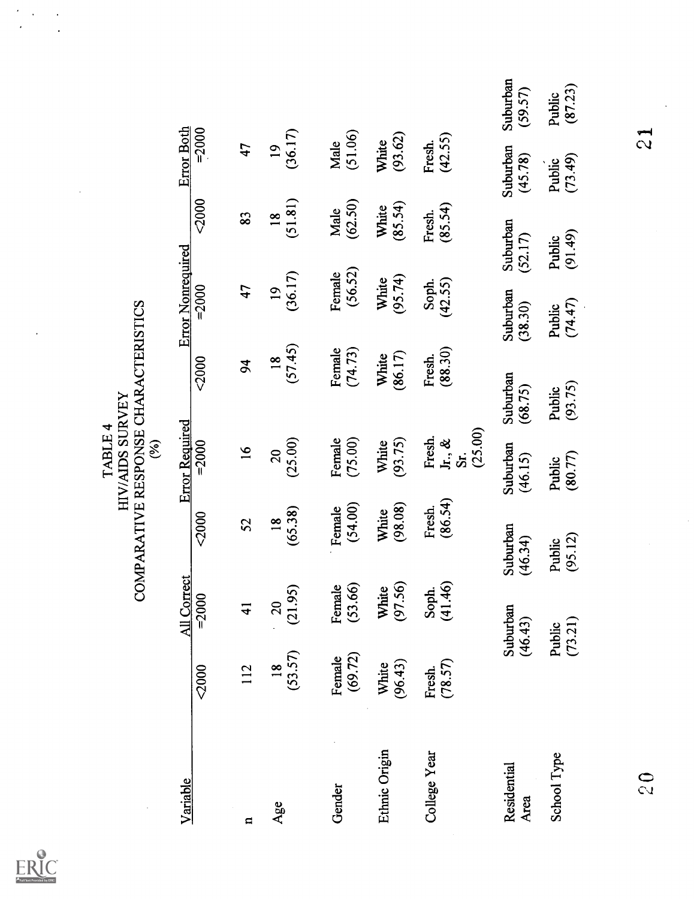|                     |                           |                            |                           | HIV/AIDS SURVEY<br>TABLE 4<br>$\mathcal{E}$ | COMPARATIVE RESPONSE CHARACTERISTICS |                            |                            |                            |                     |
|---------------------|---------------------------|----------------------------|---------------------------|---------------------------------------------|--------------------------------------|----------------------------|----------------------------|----------------------------|---------------------|
| Variable            |                           | All Correct                |                           | <b>Error Required</b>                       |                                      | <b>Error Nonrequired</b>   |                            | <b>Error Both</b>          |                     |
|                     | 2000                      | $= 2000$                   | $2000$                    | $= 2000$                                    | 2000                                 | $= 2000$                   | $2000$                     | $= 2000$                   |                     |
| H                   | 112                       | $\frac{1}{4}$              | 52                        | $\overline{16}$                             | 94                                   | 47                         | 83                         | 47                         |                     |
| Age                 | (53.57)<br>$\frac{8}{18}$ | (21.95)<br>$\overline{20}$ | (65.38)<br>$\frac{8}{10}$ | (25.00)<br>$\overline{20}$                  | (57.45)<br>$\frac{8}{18}$            | (36.17)<br>$\overline{19}$ | (51.81)<br>$\overline{18}$ | (36.17)<br>$\overline{19}$ |                     |
| Gender              | (69.72)<br>Female         | (53.66)<br>Female          | (54.00)<br>Female         | Female<br>(75.00)                           | Female<br>(74.73)                    | (56.52)<br>Female          | (62.50)<br>Male            | (51.06)<br>Male            |                     |
| Ethnic Origin       | (96.43)<br>White          | (97.56)<br>White           | (98.08)<br>White          | (93.75)<br>White                            | (86.17)<br>White                     | (95.74)<br>White           | (85.54)<br>White           | (93, 62)<br>White          |                     |
| College Year        | (78.57)<br>Fresh.         | (41.46)<br>Soph.           | (86.54)<br>Fresh.         | (25.00)<br>Fresh.<br>$Jr, \&$<br>Sr.        | (88.30)<br>Fresh.                    | (42.55)<br>Soph.           | (85.54)<br>Fresh.          | (42.55)<br>Fresh.          |                     |
| Residential<br>Area |                           | Suburban<br>(46.43)        | Suburban<br>(46.34)       | Suburban<br>(46.15)                         | Suburban<br>(68.75)                  | Suburban<br>(38.30)        | Suburban<br>(52.17)        | Suburban<br>(45.78)        | Suburban<br>(59.57) |
| School Type         |                           | (73.21)<br>Public          | (95.12)<br>Public         | (80.77)<br>Public                           | (93.75)<br>Public                    | (74.47)<br>Public          | (91.49)<br>Public          | (73.49)<br>Public          | (87.23)<br>Public   |
| 0 <sup>2</sup>      |                           |                            |                           |                                             |                                      |                            |                            | $\frac{1}{2}$              |                     |
|                     |                           |                            |                           |                                             |                                      |                            |                            |                            |                     |

 $ERIC$ 

 $\hat{\boldsymbol{\beta}}$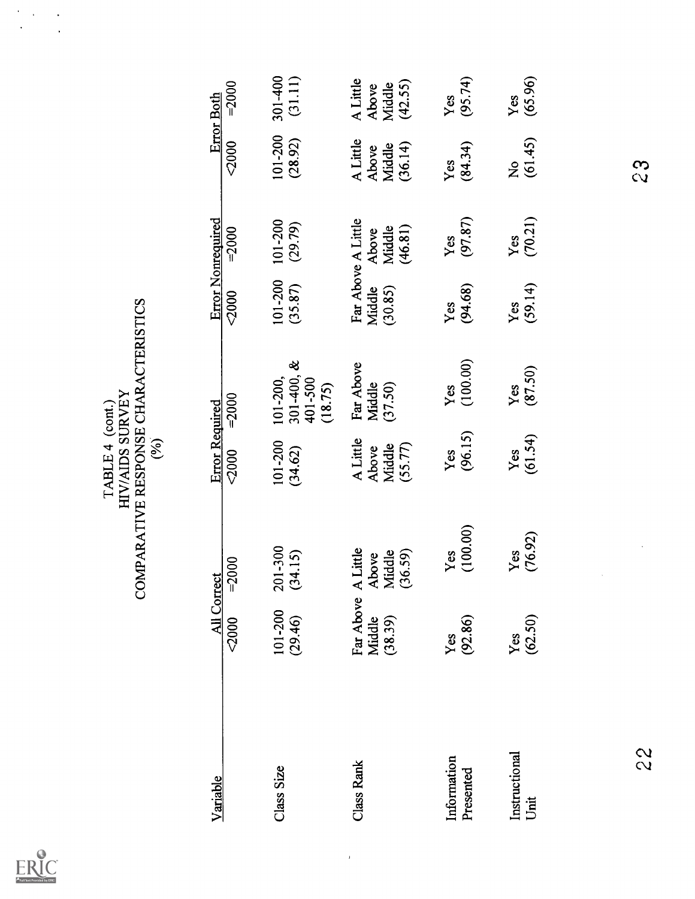| Full Text Provided by ERIC |
|----------------------------|

|                          |                                | COMPARATIVE RESPONSE CHARACTERISTICS   | HIV/AIDS SURVEY<br>TABLE 4 (cont.)<br>(%) |                                                  |                    |                                                  |                                        |                                        |
|--------------------------|--------------------------------|----------------------------------------|-------------------------------------------|--------------------------------------------------|--------------------|--------------------------------------------------|----------------------------------------|----------------------------------------|
| Variable                 | All Correct<br>2000            | $= 2000$                               | <b>Error Required</b><br>2000             | $= 2000$                                         | 2000               | <b>Error Nonrequired</b><br>$= 2000$             | <2000                                  | $= 2000$<br><b>Error Both</b>          |
| Class Size               | 101-200<br>(29.46)             | 201-300<br>(34.15)                     | 101-200<br>(34.62)                        | $301 - 400, &$<br>101-200,<br>401-500<br>(18.75) | 101-200<br>(35.87) | 101-200<br>(29.79)                               | 101-200<br>(28.92)                     | 301-400<br>(31.11)                     |
| <b>Class Rank</b>        | Far Above<br>Middle<br>(38.39) | A Little<br>(36.59)<br>Middle<br>Above | A Little<br>(55.77)<br>Middle<br>Above    | Far Above<br>Middle<br>(37.50)                   | Middle<br>(30.85)  | Far Above A Little<br>(46.81)<br>Middle<br>Above | A Little<br>(36.14)<br>Middle<br>Above | A Little<br>(42.55)<br>Middle<br>Above |
| Information<br>Presented | (92.86)<br>Yes                 | (100.00)<br>Yes                        | (96.15)<br>Yes                            | (100.00)<br>Yes                                  | (94.68)<br>Yes     | (97.87)<br>Yes                                   | (84.34)<br>Yes                         | (95.74)<br>Yes                         |
| Instructional<br>Unit    | (62.50)<br>Yes                 | (76.92)<br>Yes                         | (61.54)<br>Yes                            | (87.50)<br>Yes                                   | (59.14)<br>Yes     | (70.21)<br>Yes                                   | (61.45)<br>$\frac{1}{2}$               | (65.96)<br>Yes                         |
| 22                       |                                |                                        |                                           |                                                  |                    |                                                  | 23                                     |                                        |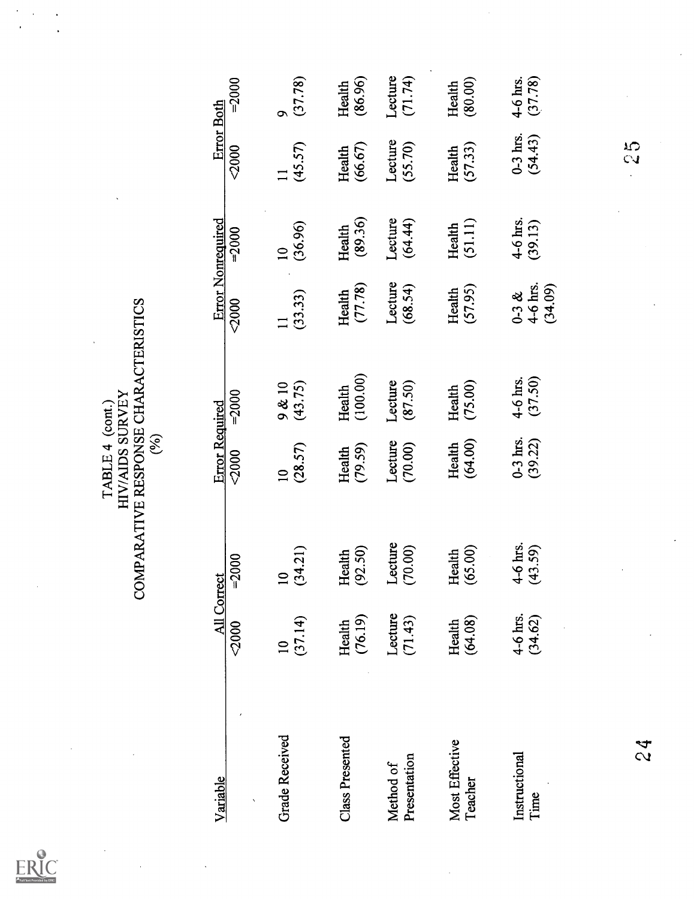| Full Text Provided by ERIC |
|----------------------------|

TABLE 4 (cont.)<br>
HIV/AIDS SURVEY<br>
COMPARATIVE RESPONSE CHARACTERISTICS<br>
(%)<br>
(%)

| $= 2000$<br><b>All Correct</b>               | Error Required<br>2000             | $= 2000$            | 2000                                | <b>Error Nonrequired</b><br>$-2000$ | 2000                    |                     |
|----------------------------------------------|------------------------------------|---------------------|-------------------------------------|-------------------------------------|-------------------------|---------------------|
|                                              |                                    |                     |                                     |                                     |                         | $= 2000$            |
| (34.21)<br>$\overline{10}$<br>(37.14)        | (28.57)<br>$\overline{\mathbf{C}}$ | (43.75)<br>9 & 10   | (33.33)<br>$\overline{\phantom{0}}$ | (36.96)<br>$\overline{a}$           | (45.57)<br>$\mathbf{1}$ | (37.78)<br>$\sigma$ |
| (92.50)<br>Health<br>(76.19)<br>Health       | (79.59)<br>Health                  | (100.00)<br>Health  | (77.78)<br>Health                   | (89.36)<br>Health                   | (66.67)<br>Health       | (86.96)<br>Health   |
| Lecture<br>(70.00)<br>Lecture<br>(71.43)     | Lecture<br>(70.00)                 | Lecture<br>(87.50)  | Lecture<br>(68.54)                  | Lecture<br>(64.44)                  | Lecture<br>(55.70)      | Lecture<br>(71.74)  |
| (65.00)<br>Health<br>(64.08)                 | (64.00)<br>Health                  | (75.00)<br>Health   | (57.95)<br>Health                   | (51.11)<br>Health                   | (57.33)<br>Health       | (80.00)<br>Health   |
| 4-6 hrs.<br>(43.59)<br>$4-6$ hrs.<br>(34.62) | $0-3$ hrs.<br>(39.22)              | 4-6 hrs.<br>(37.50) | $0-3 & 8$<br>4-6 hrs.<br>(34.09)    | 4-6 hrs.<br>(39.13)                 | $0-3$ hrs.<br>(54.43)   | 4-6 hrs.<br>(37.78) |
|                                              |                                    |                     |                                     |                                     | 23                      |                     |
|                                              |                                    |                     |                                     |                                     |                         |                     |
|                                              |                                    |                     |                                     |                                     |                         |                     |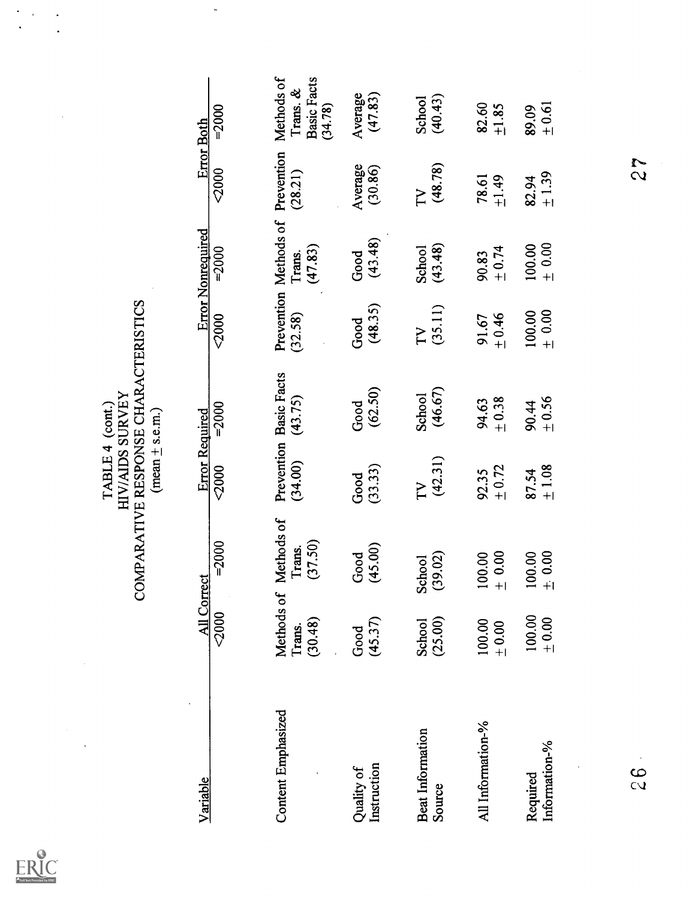$\ddot{\phantom{0}}$ 

 $\ddot{\phantom{0}}$ 

 $ERIC$ 

 $\ddot{\cdot}$ 

|                            |                                 | COMPARATIVE RESPONSE CHARACTERISTICS | HIV/AIDS SURVEY<br>TABLE 4 (cont.)<br>$(\text{mean} \pm \text{s.e.m.})$ |                                   |                      |                                            |                                |                                                         |
|----------------------------|---------------------------------|--------------------------------------|-------------------------------------------------------------------------|-----------------------------------|----------------------|--------------------------------------------|--------------------------------|---------------------------------------------------------|
| Variable                   | All Correct                     |                                      | Error Required                                                          |                                   |                      | <b>Error Nonrequired</b>                   | <b>Error Both</b>              |                                                         |
|                            | 2000                            | $= 2000$                             | 2000                                                                    | $= 2000$                          | 2000                 | $-2000$                                    | 2000                           | $= 2000$                                                |
| Content Emphasized         | Methods of<br>(30.48)<br>Trans. | Methods of<br>(37.50)<br>Trans.      | (34.00)                                                                 | Prevention Basic Facts<br>(43.75) | (32.58)              | Prevention Methods of<br>(47.83)<br>Trans. | Prevention<br>(28.21)          | Methods of<br><b>Basic Facts</b><br>Trans. &<br>(34.78) |
| Instruction<br>Quality of  | (45.37)<br>Good                 | (45.00)<br>Good                      | (33.33)<br>Good                                                         | (62.50)<br>Good                   | (48.35)<br>Good      | (43.48)<br>Good                            | Average<br>(30.86)             | Average<br>(47.83)                                      |
| Beat Information<br>Source | (25.00)<br><b>School</b>        | (39.02)<br>School                    | (42.31)<br>TV                                                           | (46.67)<br><b>School</b>          | $\frac{TV}{(35.11)}$ | (43.48)<br>School                          | (48.78)<br>$\overline{\Gamma}$ | (40.43)<br>School                                       |
| All Information-%          | 100.00<br>$\pm 0.00$            | $\pm 0.00$<br>100.00                 | $_{+0.72}$<br>92.35                                                     | $+0.38$<br>94.63                  | $1 + 0.46$<br>91.67  | $+ 0.74$<br>90.83                          | $+1.49$<br>78.61               | 82.60<br>1.85                                           |
| Information-%<br>Required  | 100.00<br>$\pm 0.00$            | ± 0.00<br>100.00                     | ±1.08<br>87.54                                                          | $+0.56$<br>90.44                  | $\pm 0.00$<br>100.00 | ± 0.00<br>100.00                           | $\pm 1.39$<br>82.94            | $_{+0.61}$<br>89.09                                     |
| 33                         |                                 |                                      |                                                                         |                                   |                      |                                            | 22                             |                                                         |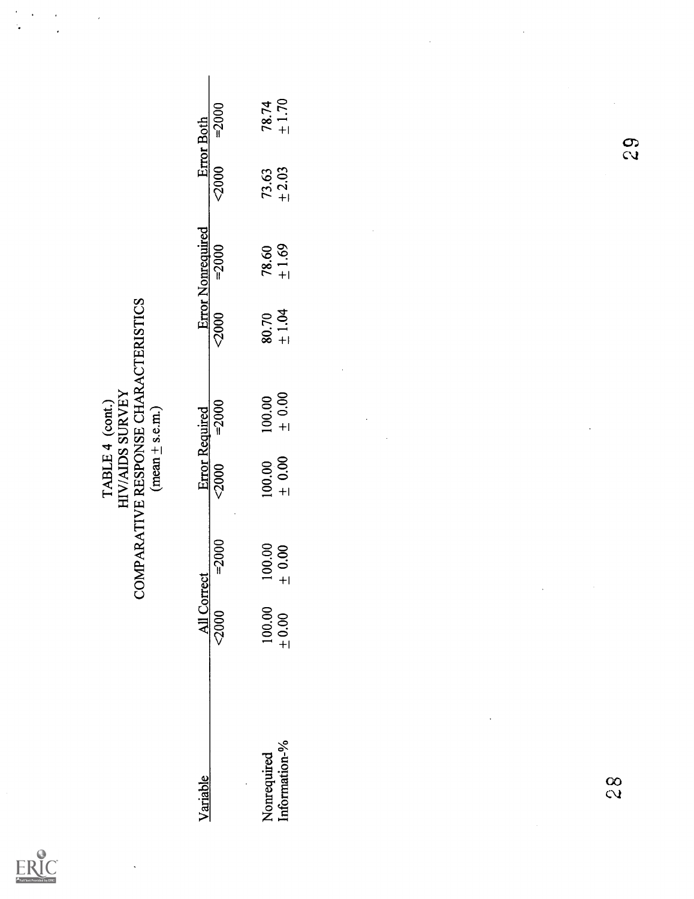| Full Text Provided by ERIC |
|----------------------------|

 $\bar{.}$ 

ŀ,

 $\ddot{\phantom{a}}$ 

 $\frac{1}{2}$ 

 $\overline{a}$ 

|               |                      | COMPARATIVE RESPONSE CHARACTERISTICS | HIV/AIDS SURVEY<br>TABLE 4 (cont.)<br>$(mean \pm s.e.m.)$ |            |       |                          |            |                       |
|---------------|----------------------|--------------------------------------|-----------------------------------------------------------|------------|-------|--------------------------|------------|-----------------------|
| Variable      | All Correct          |                                      | <b>Error Required</b>                                     |            |       | <b>Error Nonrequired</b> |            | <b>Error Both</b>     |
|               | 2000                 | $= 2000$                             | 2000                                                      | $= 2000$   | 2000  | $= 2000$                 | 2000       | $= 2000$              |
| Nonrequired   | $100.00$<br>$+ 0.00$ | 100.00                               | 100.00                                                    | 100.00     | 80.70 | 78.60                    | 73.63      | $78.74$<br>$\pm 1.70$ |
| Information-% |                      | $\pm 0.00$                           | $\pm 0.00$                                                | $\pm 0.00$ | ±1.04 | $\pm 1.69$               | $_{+2.03}$ |                       |
|               |                      |                                      |                                                           |            |       |                          |            |                       |
|               |                      |                                      |                                                           |            |       |                          |            |                       |
|               |                      |                                      |                                                           |            |       |                          |            |                       |
|               |                      |                                      |                                                           |            |       |                          |            |                       |
|               |                      |                                      |                                                           |            |       |                          |            |                       |
|               |                      |                                      |                                                           |            |       |                          |            |                       |
|               |                      |                                      |                                                           |            |       |                          |            |                       |
|               |                      |                                      |                                                           |            |       |                          |            |                       |
| $\frac{8}{3}$ |                      |                                      |                                                           |            |       |                          |            |                       |
|               |                      |                                      |                                                           |            |       |                          | 83         |                       |
|               |                      |                                      |                                                           |            |       |                          |            |                       |
|               |                      |                                      |                                                           |            |       |                          |            |                       |
|               |                      |                                      |                                                           |            |       |                          |            |                       |

 $\ddot{\phantom{a}}$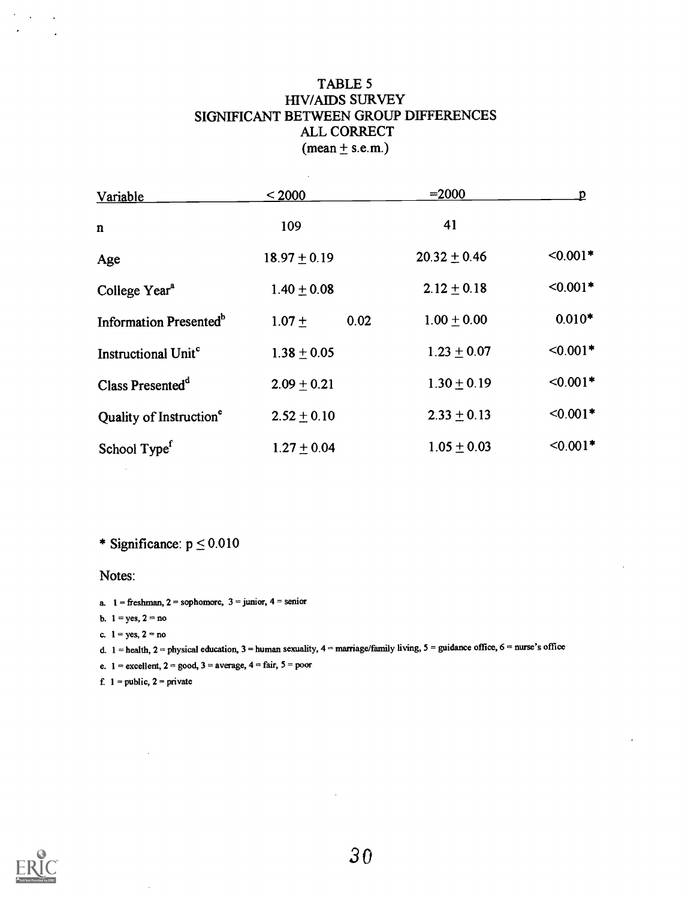#### TABLE 5 HIV/A1DS SURVEY SIGNIFICANT BETWEEN GROUP DIFFERENCES ALL CORRECT  $(mean \pm s.e.m.)$

 $\bar{\beta}$ 

| Variable                            | < 2000           | $= 2000$         | D          |
|-------------------------------------|------------------|------------------|------------|
| n                                   | 109              | 41               |            |
| Age                                 | $18.97 \pm 0.19$ | $20.32 \pm 0.46$ | $< 0.001*$ |
| College Year <sup>a</sup>           | $1.40 \pm 0.08$  | $2.12 \pm 0.18$  | $< 0.001*$ |
| Information Presented <sup>b</sup>  | 0.02<br>$1.07 +$ | $1.00 + 0.00$    | $0.010*$   |
| Instructional Unit <sup>c</sup>     | $1.38 \pm 0.05$  | $1.23 \pm 0.07$  | $< 0.001*$ |
| Class Presented <sup>d</sup>        | $2.09 + 0.21$    | $1.30 \pm 0.19$  | $<0.001*$  |
| Quality of Instruction <sup>e</sup> | $2.52 \pm 0.10$  | $2.33 \pm 0.13$  | $<0.001*$  |
| School Type <sup>f</sup>            | $1.27 \pm 0.04$  | $1.05 \pm 0.03$  | $< 0.001*$ |

\* Significance:  $p \le 0.010$ 

Notes:

 $\bar{z}$ 

- a.  $1 =$  freshman,  $2 =$  sophomore,  $3 =$  junior,  $4 =$  senior
- b.  $1 = yes, 2 = no$
- c.  $1 = yes, 2 = no$
- d.  $1 =$  health,  $2 =$  physical education,  $3 =$  human sexuality,  $4 =$  marriage/family living,  $5 =$  guidance office,  $6 =$  nurse's office
- e.  $1 =$  excellent,  $2 =$  good,  $3 =$  average,  $4 =$  fair,  $5 =$  poor
- f.  $1 = public, 2 = private$



 $\Delta\phi=0.1$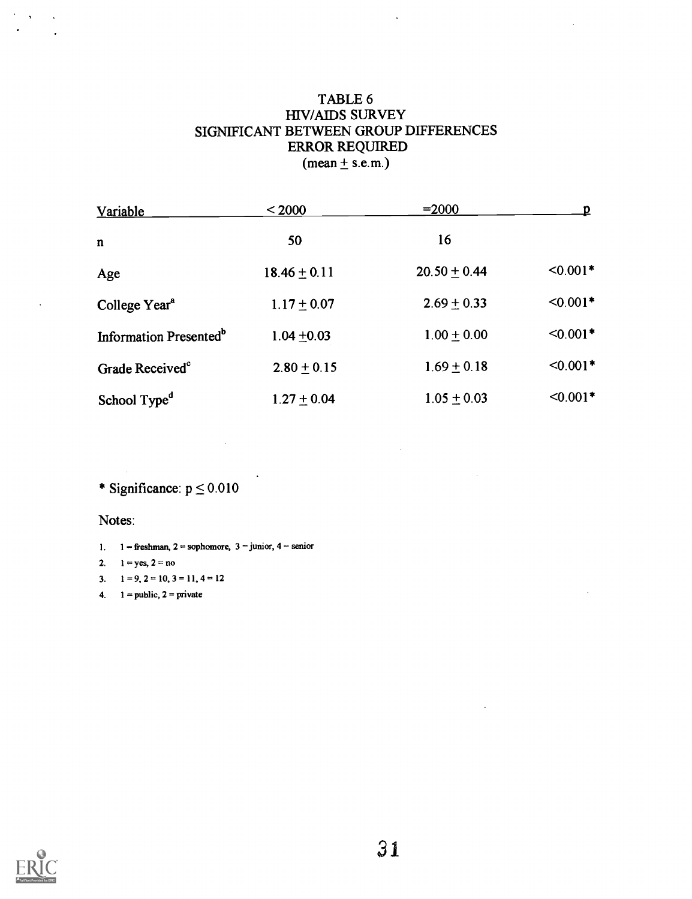#### TABLE 6 HIV/AIDS SURVEY SIGNIFICANT BETWEEN GROUP DIFFERENCES ERROR REQUIRED  $(\text{mean} \pm \text{s.e.m.})$

 $\ddot{\phantom{a}}$ 

| Variable                           | < 2000           | $= 2000$         | D          |
|------------------------------------|------------------|------------------|------------|
| $\mathbf n$                        | 50               | 16               |            |
| Age                                | $18.46 \pm 0.11$ | $20.50 \pm 0.44$ | $< 0.001*$ |
| College Year <sup>a</sup>          | $1.17 \pm 0.07$  | $2.69 + 0.33$    | $< 0.001*$ |
| Information Presented <sup>b</sup> | $1.04 + 0.03$    | $1.00 + 0.00$    | $< 0.001*$ |
| Grade Received <sup>c</sup>        | $2.80 \pm 0.15$  | $1.69 \pm 0.18$  | $<0.001*$  |
| School Type <sup>d</sup>           | $1.27 + 0.04$    | $1.05 \pm 0.03$  | $< 0.001*$ |

\* Significance:  $p \le 0.010$ 

Notes:

- 1. 1 = freshman, 2 = sophomore, 3 = junior, 4 = senior
- 2.  $1 = yes, 2 = no$
- 3.  $1 = 9, 2 = 10, 3 = 11, 4 = 12$
- 4.  $1 = \text{public}, 2 = \text{private}$



 $\overline{\phantom{a}}$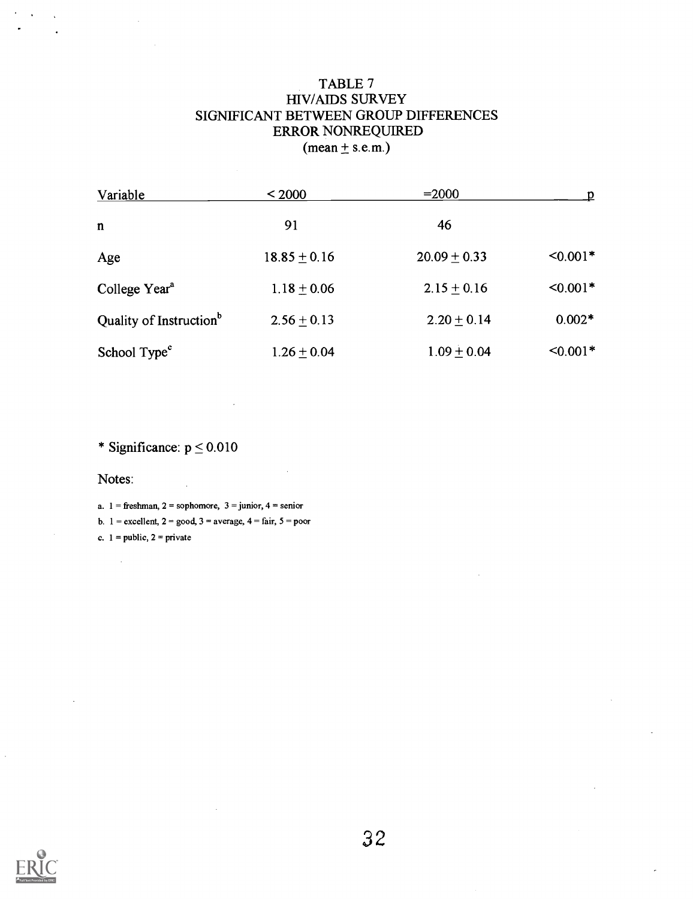### TABLE 7 HIV/AIDS SURVEY SIGNIFICANT BETWEEN GROUP DIFFERENCES ERROR NONREQUIRED  $(mean <sub>±</sub> s.e.m.)$

| Variable                            | < 2000           | $= 2000$         | D             |
|-------------------------------------|------------------|------------------|---------------|
| $\mathbf n$                         | 91               | 46               |               |
| Age                                 | $18.85 \pm 0.16$ | $20.09 \pm 0.33$ | $< 0.001*$    |
| College Year <sup>a</sup>           | $1.18 \pm 0.06$  | $2.15 + 0.16$    | $< 0.001*$    |
| Quality of Instruction <sup>b</sup> | $2.56 \pm 0.13$  | $2.20 + 0.14$    | $0.002*$      |
| School Type <sup>c</sup>            | $1.26 \pm 0.04$  | $1.09 \pm 0.04$  | $\leq 0.001*$ |

\* Significance:  $p \le 0.010$ 

Notes:

a.  $1 =$  freshman,  $2 =$  sophomore,  $3 =$  junior,  $4 =$  senior

b.  $1 =$  excellent,  $2 =$  good,  $3 =$  average,  $4 =$  fair,  $5 =$  poor

c.  $1 = \text{public}$ ,  $2 = \text{private}$ 

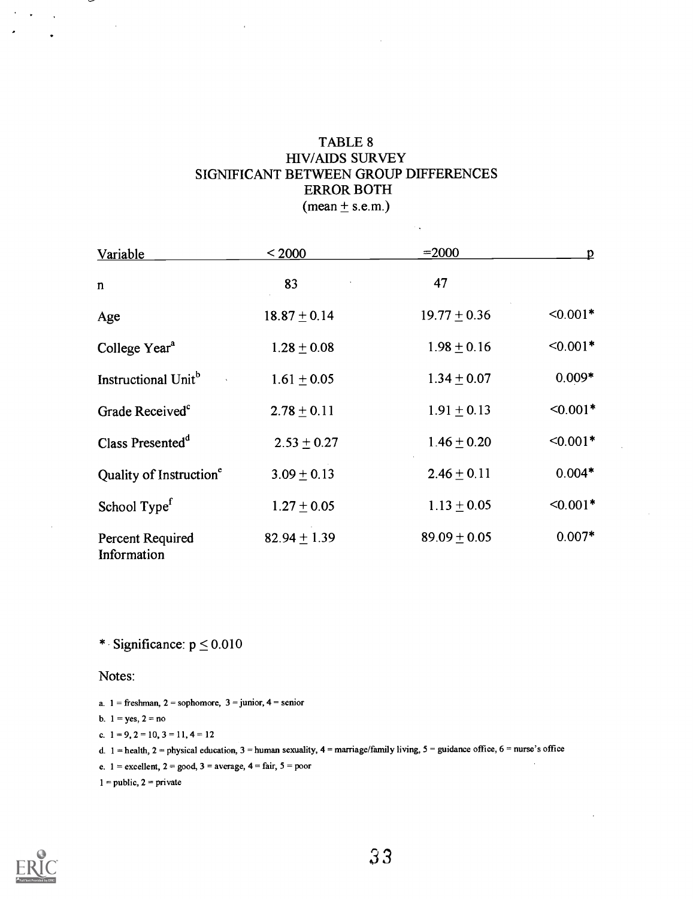#### TABLE 8 HIV/AIDS SURVEY SIGNIFICANT BETWEEN GROUP DIFFERENCES ERROR BOTH  $(mean \pm s.e.m.)$

 $\sim$   $_{\star}$ 

| Variable                               | < 2000           | $= 2000$         | D          |
|----------------------------------------|------------------|------------------|------------|
| n                                      | 83               | 47               |            |
| Age                                    | $18.87 \pm 0.14$ | $19.77 \pm 0.36$ | $< 0.001*$ |
| College Year <sup>a</sup>              | $1.28 \pm 0.08$  | $1.98 \pm 0.16$  | $< 0.001*$ |
| Instructional Unit <sup>b</sup>        | $1.61 \pm 0.05$  | $1.34 \pm 0.07$  | $0.009*$   |
| Grade Received <sup>c</sup>            | $2.78 \pm 0.11$  | $1.91 \pm 0.13$  | $< 0.001*$ |
| Class Presented <sup>d</sup>           | $2.53 \pm 0.27$  | $1.46 \pm 0.20$  | $< 0.001*$ |
| Quality of Instruction <sup>e</sup>    | $3.09 \pm 0.13$  | $2.46 \pm 0.11$  | $0.004*$   |
| School Type <sup>f</sup>               | $1.27 \pm 0.05$  | $1.13 \pm 0.05$  | $< 0.001*$ |
| <b>Percent Required</b><br>Information | 82.94 $\pm$ 1.39 | $89.09 \pm 0.05$ | $0.007*$   |

\* Significance:  $p \le 0.010$ 

Notes:

```
a. 1 = freshman, 2 = sophomore, 3 = junior, 4 = senior
b. 1 = yes, 2 = noc. 1 = 9, 2 = 10, 3 = 11, 4 = 12d. 1 = health, 2 = physical education, 3 = human sexuality, 4 = marriage/family living, 5 = guidance office, 6 = nurse's office
e. 1 = excellent, 2 = good, 3 = average, 4 = fair, 5 = poor
                                                                                                                             \mathcal{L}^{\mathcal{L}}1 = public, 2 = private
```


 $\mathcal{O}(\log n)$  .  $\mathcal{O}(\log n)$ 

 $\lambda$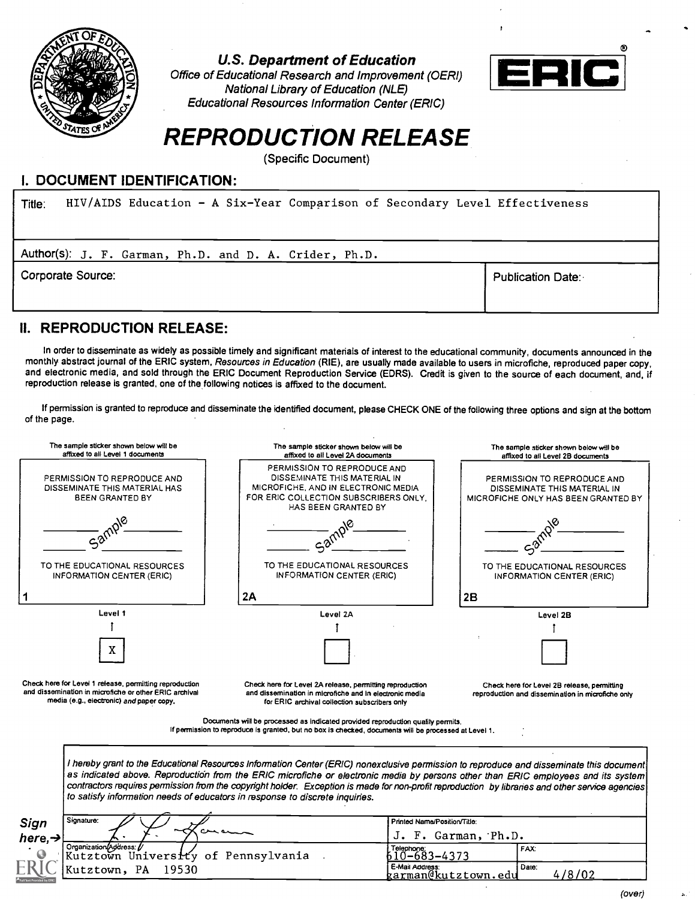

U.S. Department of Education

Office of Educational Research and Improvement (OERI) National Library of Education (NLE) Educational Resources Information Center (ERIC)



### REPRODUCTION RELEASE

(Specific Document)

#### I. DOCUMENT IDENTIFICATION:

| HIV/AIDS Education - A Six-Year Comparison of Secondary Level Effectiveness<br>Title: |                          |
|---------------------------------------------------------------------------------------|--------------------------|
| Author(s): J. F. Garman, Ph.D. and D. A. Crider, Ph.D.                                |                          |
| Corporate Source:                                                                     | <b>Publication Date:</b> |

### II. REPRODUCTION RELEASE:

In order to disseminate as widely as possible timely and significant materials of interest to the educational community, documents announced in the monthly abstract journal of the ERIC system, Resources in Education (RIE), are usually made available to users in microfiche, reproduced paper copy, and electronic media, and sold through the ERIC Document Reproduction Service (EDRS). Credit is given to the source of each document, and, if reproduction release is granted, one of the following notices is affixed to the document.

If permission is granted to reproduce and disseminate the identified document, please CHECK ONE of the following three options and sign at the bottom of the page.



(over)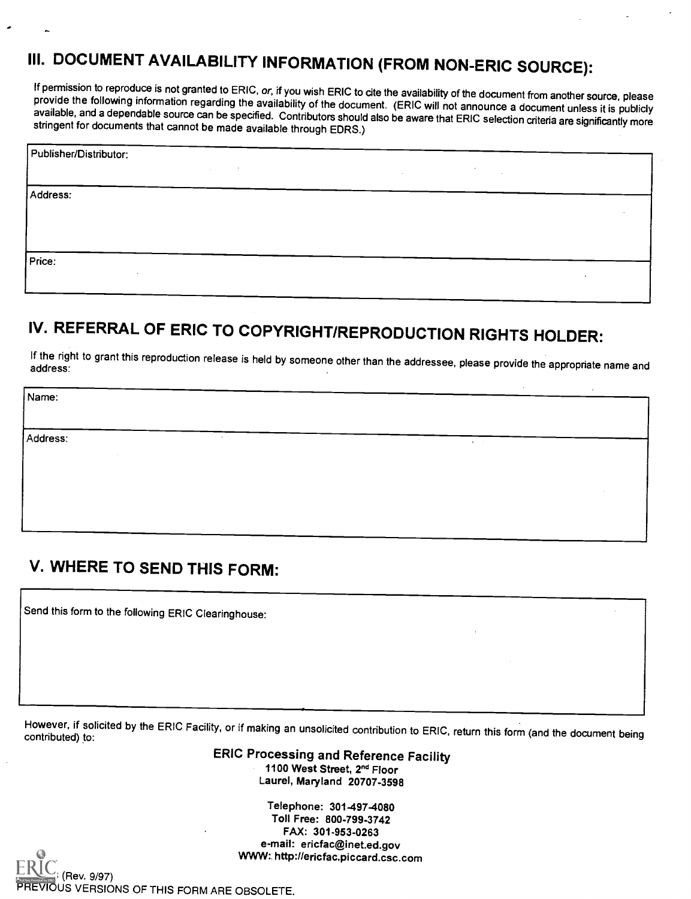## III. DOCUMENT AVAILABILITY INFORMATION (FROM NON-ERIC SOURCE):

If permission to reproduce is not granted to ERIC, or, if you wish ERIC to cite the availability of the document from another source, please<br>provide the following information regarding the availability of the document. (ER

| Publisher/Distributor:   |        |        |  |
|--------------------------|--------|--------|--|
|                          | $\sim$ | $\sim$ |  |
| Address:                 |        |        |  |
|                          |        |        |  |
|                          |        |        |  |
| Price:                   |        |        |  |
| $\overline{\phantom{a}}$ |        |        |  |

### IV. REFERRAL OF ERIC TO COPYRIGHT/REPRODUCTION RIGHTS HOLDER:

If the right to grant this reproduction release is held by someone other than the addressee, please provide the appropriate name and

Name:

Address:

### V. WHERE TO SEND THIS FORM:

Send this form to the following ERIC Clearinghouse:

However, if solicited by the ERIC Facility, or if making an unsolicited contribution to ERIC, return this form (and the document being contributed) to:

ERIC Processing and Reference Facility 1100 West Street, 2<sup>nd</sup> Floor Laurel, Maryland 20707-3598

> Telephone: 301-497-4080 Toll Free: 800-799-3742 FAX: 301-953-0263 e-mail: ericfac@inet.ed.gov WWW: http://ericfac.piccard.csc.com

Rev. 9/97) IOUS VERSIONS OF THIS FORM ARE OBSOLETE.